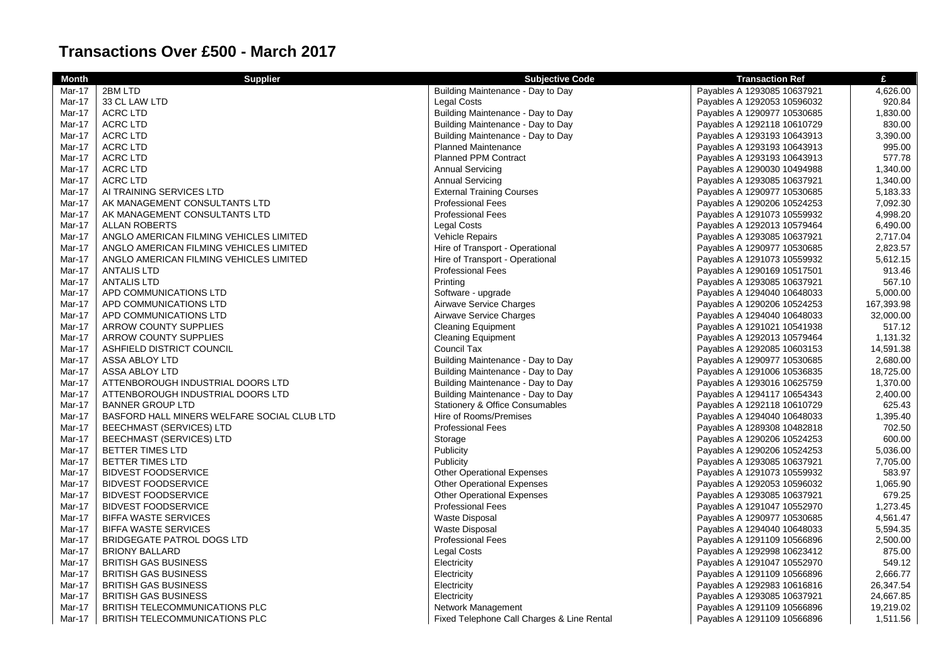## **Transactions Over £500 - March 2017**

| <b>Month</b>  | <b>Supplier</b>                             | <b>Subjective Code</b>            | <b>Transaction Ref</b>      | £          |
|---------------|---------------------------------------------|-----------------------------------|-----------------------------|------------|
| Mar-17        | 2BM LTD                                     | Building Maintenance - Day to Day | Payables A 1293085 10637921 | 4,626.00   |
| Mar-17        | 33 CL LAW LTD                               | <b>Legal Costs</b>                | Payables A 1292053 10596032 | 920.84     |
| Mar-17        | <b>ACRC LTD</b>                             | Building Maintenance - Day to Day | Payables A 1290977 10530685 | 1,830.00   |
| Mar-17        | <b>ACRC LTD</b>                             | Building Maintenance - Day to Day | Payables A 1292118 10610729 | 830.00     |
| Mar-17        | <b>ACRC LTD</b>                             | Building Maintenance - Day to Day | Payables A 1293193 10643913 | 3,390.00   |
| Mar-17        | <b>ACRC LTD</b>                             | <b>Planned Maintenance</b>        | Payables A 1293193 10643913 | 995.00     |
| Mar-17        | ACRC LTD                                    | <b>Planned PPM Contract</b>       | Payables A 1293193 10643913 | 577.78     |
| <b>Mar-17</b> | <b>ACRC LTD</b>                             | <b>Annual Servicing</b>           | Payables A 1290030 10494988 | 1,340.00   |
| Mar-17        | <b>ACRC LTD</b>                             | <b>Annual Servicing</b>           | Payables A 1293085 10637921 | 1,340.00   |
| Mar-17        | AI TRAINING SERVICES LTD                    | <b>External Training Courses</b>  | Payables A 1290977 10530685 | 5,183.33   |
| Mar-17        | AK MANAGEMENT CONSULTANTS LTD               | <b>Professional Fees</b>          | Payables A 1290206 10524253 | 7,092.30   |
| Mar-17        | AK MANAGEMENT CONSULTANTS LTD               | <b>Professional Fees</b>          | Payables A 1291073 10559932 | 4,998.20   |
| Mar-17        | <b>ALLAN ROBERTS</b>                        | <b>Legal Costs</b>                | Payables A 1292013 10579464 | 6,490.00   |
| Mar-17        | ANGLO AMERICAN FILMING VEHICLES LIMITED     | <b>Vehicle Repairs</b>            | Payables A 1293085 10637921 | 2,717.04   |
| Mar-17        | ANGLO AMERICAN FILMING VEHICLES LIMITED     | Hire of Transport - Operational   | Payables A 1290977 10530685 | 2,823.57   |
| Mar-17        | ANGLO AMERICAN FILMING VEHICLES LIMITED     | Hire of Transport - Operational   | Payables A 1291073 10559932 | 5,612.15   |
| Mar-17        | <b>ANTALIS LTD</b>                          | <b>Professional Fees</b>          | Payables A 1290169 10517501 | 913.46     |
| Mar-17        | <b>ANTALIS LTD</b>                          | Printing                          | Payables A 1293085 10637921 | 567.10     |
| Mar-17        | APD COMMUNICATIONS LTD                      | Software - upgrade                | Payables A 1294040 10648033 | 5,000.00   |
| Mar-17        | APD COMMUNICATIONS LTD                      | Airwave Service Charges           | Payables A 1290206 10524253 | 167,393.98 |
| Mar-17        | APD COMMUNICATIONS LTD                      | Airwave Service Charges           | Payables A 1294040 10648033 | 32,000.00  |
| Mar-17        | <b>ARROW COUNTY SUPPLIES</b>                | <b>Cleaning Equipment</b>         | Payables A 1291021 10541938 | 517.12     |
| Mar-17        | <b>ARROW COUNTY SUPPLIES</b>                | <b>Cleaning Equipment</b>         | Payables A 1292013 10579464 | 1,131.32   |
| Mar-17        | ASHFIELD DISTRICT COUNCIL                   | Council Tax                       | Payables A 1292085 10603153 | 14,591.38  |
| Mar-17        | ASSA ABLOY LTD                              | Building Maintenance - Day to Day | Payables A 1290977 10530685 | 2,680.00   |
| Mar-17        | ASSA ABLOY LTD                              | Building Maintenance - Day to Day | Payables A 1291006 10536835 | 18,725.00  |
| Mar-17        | ATTENBOROUGH INDUSTRIAL DOORS LTD           | Building Maintenance - Day to Day | Payables A 1293016 10625759 | 1,370.00   |
| Mar-17        | ATTENBOROUGH INDUSTRIAL DOORS LTD           | Building Maintenance - Day to Day | Payables A 1294117 10654343 | 2,400.00   |
| Mar-17        | <b>BANNER GROUP LTD</b>                     | Stationery & Office Consumables   | Payables A 1292118 10610729 | 625.43     |
| Mar-17        | BASFORD HALL MINERS WELFARE SOCIAL CLUB LTD | Hire of Rooms/Premises            | Payables A 1294040 10648033 | 1,395.40   |
| Mar-17        | BEECHMAST (SERVICES) LTD                    | <b>Professional Fees</b>          | Payables A 1289308 10482818 | 702.50     |
| Mar-17        | <b>BEECHMAST (SERVICES) LTD</b>             | Storage                           | Payables A 1290206 10524253 | 600.00     |
| Mar-17        | BETTER TIMES LTD                            | Publicity                         | Payables A 1290206 10524253 | 5,036.00   |
| Mar-17        | BETTER TIMES LTD                            | Publicity                         | Payables A 1293085 10637921 | 7,705.00   |
| Mar-17        | <b>BIDVEST FOODSERVICE</b>                  | <b>Other Operational Expenses</b> | Payables A 1291073 10559932 | 583.97     |
| Mar-17        | <b>BIDVEST FOODSERVICE</b>                  | <b>Other Operational Expenses</b> | Payables A 1292053 10596032 | 1,065.90   |
| Mar-17        | <b>BIDVEST FOODSERVICE</b>                  | <b>Other Operational Expenses</b> | Payables A 1293085 10637921 | 679.25     |
| Mar-17        | <b>BIDVEST FOODSERVICE</b>                  | <b>Professional Fees</b>          | Payables A 1291047 10552970 | 1,273.45   |
| Mar-17        | <b>BIFFA WASTE SERVICES</b>                 | Waste Disposal                    | Payables A 1290977 10530685 | 4,561.47   |
| Mar-17        | <b>BIFFA WASTE SERVICES</b>                 | Waste Disposal                    | Payables A 1294040 10648033 | 5,594.35   |
| Mar-17        | <b>BRIDGEGATE PATROL DOGS LTD</b>           | <b>Professional Fees</b>          | Payables A 1291109 10566896 | 2,500.00   |
| Mar-17        | <b>BRIONY BALLARD</b>                       | Legal Costs                       | Payables A 1292998 10623412 | 875.00     |
| Mar-17        | <b>BRITISH GAS BUSINESS</b>                 | Electricity                       | Payables A 1291047 10552970 | 549.12     |
| Mar-17        | <b>BRITISH GAS BUSINESS</b>                 | Electricity                       | Payables A 1291109 10566896 | 2,666.77   |
| Mar-17        | <b>BRITISH GAS BUSINESS</b>                 | Electricity                       | Payables A 1292983 10616816 | 26,347.54  |
| Mar-17        | <b>BRITISH GAS BUSINESS</b>                 | Electricity                       | Payables A 1293085 10637921 | 24,667.85  |
| Mar-17        | <b>BRITISH TELECOMMUNICATIONS PLC</b>       | Network Management                | Payables A 1291109 10566896 | 19,219.02  |

Mar-17 BRITISH TELECOMMUNICATIONS PLC **Fixed Telephone Call Charges & Line Rental** Payables A 1291109 10566896 2,511.56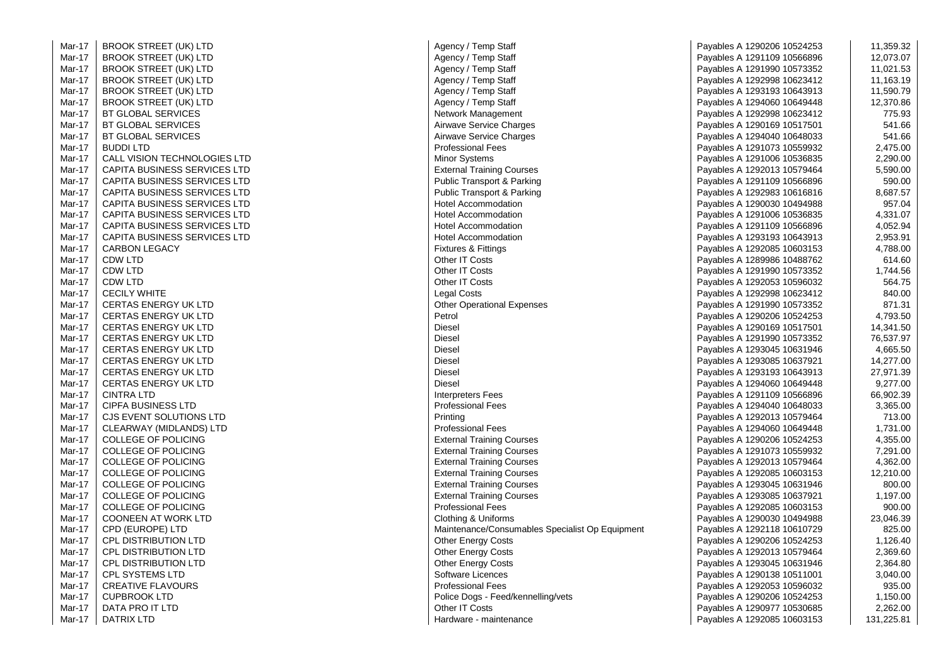Mar-17 BROOK STREET (UK) LTD Mar-17 BROOK STREET (UK) LTD Mar-17 BROOK STREET (UK) LTD Mar-17 BROOK STREET (UK) LTD Mar-17 BROOK STREET (UK) LTD Mar-17 BROOK STREET (UK) LTD Mar-17 Mar-17 Mar-17 Mar-17 Mar-17 CALL VISION TECHNOLOGIES LTD Mar-17 CAPITA BUSINESS SERVICES LTD Mar-17 CAPITA BUSINESS SERVICES LTD Mar-17 CAPITA BUSINESS SERVICES LTD Mar-17 CAPITA BUSINESS SERVICES LTD Mar-17 CAPITA BUSINESS SERVICES LTD Mar-17 CAPITA BUSINESS SERVICES LTD Mar-17 CAPITA BUSINESS SERVICES LTD Mar-17 Mar-17 Mar-17 Mar-17 Mar-17 Mar-17 **CERTAS ENERGY UK LTD** Mar-17 **CERTAS ENERGY UK LTD** Mar-17 CERTAS ENERGY UK LTD Mar-17 **CERTAS ENERGY UK LTD** Mar-17 CERTAS ENERGY UK LTD Mar-17 CERTAS ENERGY UK LTD Mar-17 CERTAS ENERGY UK LTD Mar-17 CERTAS ENERGY UK LTD Mar-17 Mar-17 Mar-17 **CJS EVENT SOLUTIONS LTD** Mar-17 CLEARWAY (MIDLANDS) LTD Mar-17 COLLEGE OF POLICING Mar-17 Mar-17 Mar-17 COLLEGE OF POLICING Mar-17 Mar-17 Mar-17 COLLEGE OF POLICING Mar-17 COONEEN AT WORK LTD<br>CPD (EUROPE) LTD Mar-17 Mar-17 **CPL DISTRIBUTION LTD** Mar-17 Mar-17 Mar-17 Mar-17 **CREATIVE FLAVOURS** Mar-17 CUPBROOK LTD Mar-17 Mar-17  $\overline{1}$  DATRIX LTD

| -17 | BROOK STREET (UK) LTD                                 | Agency / Temp Staff                             | Payables A 1290206 10524253 | 11,359.32            |
|-----|-------------------------------------------------------|-------------------------------------------------|-----------------------------|----------------------|
| -17 | <b>BROOK STREET (UK) LTD</b>                          | Agency / Temp Staff                             | Payables A 1291109 10566896 | 12,073.07            |
| -17 | <b>BROOK STREET (UK) LTD</b>                          | Agency / Temp Staff                             | Payables A 1291990 10573352 | 11,021.53            |
| -17 | <b>BROOK STREET (UK) LTD</b>                          | Agency / Temp Staff                             | Payables A 1292998 10623412 | 11,163.19            |
| -17 | <b>BROOK STREET (UK) LTD</b>                          | Agency / Temp Staff                             | Payables A 1293193 10643913 | 11,590.79            |
| -17 | <b>BROOK STREET (UK) LTD</b>                          | Agency / Temp Staff                             | Payables A 1294060 10649448 | 12,370.86            |
| -17 | BT GLOBAL SERVICES                                    | Network Management                              | Payables A 1292998 10623412 | 775.93               |
| -17 | <b>BT GLOBAL SERVICES</b>                             | Airwave Service Charges                         | Payables A 1290169 10517501 | 541.66               |
| -17 | <b>BT GLOBAL SERVICES</b>                             | Airwave Service Charges                         | Payables A 1294040 10648033 | 541.66               |
| -17 | <b>BUDDILTD</b>                                       | <b>Professional Fees</b>                        | Payables A 1291073 10559932 | 2,475.00             |
| -17 | CALL VISION TECHNOLOGIES LTD                          | <b>Minor Systems</b>                            | Payables A 1291006 10536835 | 2,290.00             |
| -17 | CAPITA BUSINESS SERVICES LTD                          | <b>External Training Courses</b>                | Payables A 1292013 10579464 | 5,590.00             |
| -17 | CAPITA BUSINESS SERVICES LTD                          | <b>Public Transport &amp; Parking</b>           | Payables A 1291109 10566896 | 590.00               |
| -17 | <b>CAPITA BUSINESS SERVICES LTD</b>                   | <b>Public Transport &amp; Parking</b>           | Payables A 1292983 10616816 | 8,687.57             |
| -17 | CAPITA BUSINESS SERVICES LTD                          | <b>Hotel Accommodation</b>                      | Payables A 1290030 10494988 | 957.04               |
| -17 | CAPITA BUSINESS SERVICES LTD                          | <b>Hotel Accommodation</b>                      | Payables A 1291006 10536835 | 4,331.07             |
| -17 | <b>CAPITA BUSINESS SERVICES LTD</b>                   | <b>Hotel Accommodation</b>                      | Payables A 1291109 10566896 | 4,052.94             |
| -17 | CAPITA BUSINESS SERVICES LTD                          | Hotel Accommodation                             | Payables A 1293193 10643913 | 2,953.91             |
| -17 | <b>CARBON LEGACY</b>                                  | Fixtures & Fittings                             | Payables A 1292085 10603153 | 4,788.00             |
| -17 | <b>CDW LTD</b>                                        | Other IT Costs                                  | Payables A 1289986 10488762 | 614.60               |
| -17 | CDW LTD                                               | Other IT Costs                                  | Payables A 1291990 10573352 | 1,744.56             |
| -17 | CDW LTD                                               | Other IT Costs                                  | Payables A 1292053 10596032 | 564.75               |
| -17 | <b>CECILY WHITE</b>                                   | Legal Costs                                     | Payables A 1292998 10623412 | 840.00               |
| -17 | <b>CERTAS ENERGY UK LTD</b>                           | <b>Other Operational Expenses</b>               | Payables A 1291990 10573352 | 871.31               |
| -17 | <b>CERTAS ENERGY UK LTD</b>                           | Petrol                                          | Payables A 1290206 10524253 | 4,793.50             |
| -17 | <b>CERTAS ENERGY UK LTD</b>                           | <b>Diesel</b>                                   | Payables A 1290169 10517501 | 14,341.50            |
| -17 | <b>CERTAS ENERGY UK LTD</b>                           | Diesel                                          | Payables A 1291990 10573352 | 76,537.97            |
| -17 | <b>CERTAS ENERGY UK LTD</b>                           | <b>Diesel</b>                                   | Payables A 1293045 10631946 | 4,665.50             |
| -17 | <b>CERTAS ENERGY UK LTD</b>                           | <b>Diesel</b>                                   | Payables A 1293085 10637921 | 14,277.00            |
| -17 | <b>CERTAS ENERGY UK LTD</b>                           | <b>Diesel</b>                                   | Payables A 1293193 10643913 | 27,971.39            |
| -17 | <b>CERTAS ENERGY UK LTD</b>                           | <b>Diesel</b>                                   | Payables A 1294060 10649448 | 9,277.00             |
| -17 | <b>CINTRA LTD</b>                                     | <b>Interpreters Fees</b>                        | Payables A 1291109 10566896 | 66,902.39            |
| -17 | <b>CIPFA BUSINESS LTD</b>                             | <b>Professional Fees</b>                        | Payables A 1294040 10648033 | 3,365.00             |
| -17 | CJS EVENT SOLUTIONS LTD                               | Printing                                        | Payables A 1292013 10579464 | 713.00               |
| -17 |                                                       | <b>Professional Fees</b>                        |                             |                      |
| -17 | CLEARWAY (MIDLANDS) LTD<br><b>COLLEGE OF POLICING</b> | <b>External Training Courses</b>                | Payables A 1294060 10649448 | 1,731.00<br>4,355.00 |
|     |                                                       |                                                 | Payables A 1290206 10524253 | 7,291.00             |
| -17 | COLLEGE OF POLICING                                   | <b>External Training Courses</b>                | Payables A 1291073 10559932 |                      |
| -17 | <b>COLLEGE OF POLICING</b>                            | <b>External Training Courses</b>                | Payables A 1292013 10579464 | 4,362.00             |
| -17 | COLLEGE OF POLICING                                   | <b>External Training Courses</b>                | Payables A 1292085 10603153 | 12,210.00            |
| -17 | <b>COLLEGE OF POLICING</b>                            | <b>External Training Courses</b>                | Payables A 1293045 10631946 | 800.00               |
| -17 | COLLEGE OF POLICING                                   | <b>External Training Courses</b>                | Payables A 1293085 10637921 | 1,197.00             |
| -17 | COLLEGE OF POLICING                                   | <b>Professional Fees</b>                        | Payables A 1292085 10603153 | 900.00               |
| -17 | <b>COONEEN AT WORK LTD</b>                            | Clothing & Uniforms                             | Payables A 1290030 10494988 | 23,046.39            |
| -17 | CPD (EUROPE) LTD                                      | Maintenance/Consumables Specialist Op Equipment | Payables A 1292118 10610729 | 825.00               |
| -17 | <b>CPL DISTRIBUTION LTD</b>                           | <b>Other Energy Costs</b>                       | Payables A 1290206 10524253 | 1,126.40             |
| -17 | CPL DISTRIBUTION LTD                                  | Other Energy Costs                              | Payables A 1292013 10579464 | 2,369.60             |
| -17 | <b>CPL DISTRIBUTION LTD</b>                           | <b>Other Energy Costs</b>                       | Payables A 1293045 10631946 | 2,364.80             |
| -17 | <b>CPL SYSTEMS LTD</b>                                | Software Licences                               | Payables A 1290138 10511001 | 3,040.00             |
| -17 | <b>CREATIVE FLAVOURS</b>                              | <b>Professional Fees</b>                        | Payables A 1292053 10596032 | 935.00               |
| -17 | <b>CUPBROOK LTD</b>                                   | Police Dogs - Feed/kennelling/vets              | Payables A 1290206 10524253 | 1,150.00             |
| -17 | DATA PRO IT LTD                                       | Other IT Costs                                  | Payables A 1290977 10530685 | 2,262.00             |
| -17 | <b>DATRIX LTD</b>                                     | Hardware - maintenance                          | Payables A 1292085 10603153 | 131,225.81           |

| <sup>-</sup> emp Staff                 | Payables A 1290206 10524253 | 11,359.32  |
|----------------------------------------|-----------------------------|------------|
| emp Staff                              | Payables A 1291109 10566896 | 12,073.07  |
| emp Staff                              | Payables A 1291990 10573352 | 11,021.53  |
| emp Staff                              | Payables A 1292998 10623412 | 11,163.19  |
| emp Staff                              | Payables A 1293193 10643913 | 11,590.79  |
| emp Staff                              | Payables A 1294060 10649448 | 12,370.86  |
| lanagement                             | Payables A 1292998 10623412 | 775.93     |
| ervice Charges                         | Payables A 1290169 10517501 | 541.66     |
| ervice Charges                         | Payables A 1294040 10648033 | 541.66     |
| ıal Fees                               | Payables A 1291073 10559932 | 2,475.00   |
| tems                                   | Payables A 1291006 10536835 | 2,290.00   |
| raining Courses                        | Payables A 1292013 10579464 | 5,590.00   |
| nsport & Parking                       | Payables A 1291109 10566896 | 590.00     |
| nsport & Parking                       | Payables A 1292983 10616816 | 8,687.57   |
| ommodation                             | Payables A 1290030 10494988 | 957.04     |
| ommodation                             | Payables A 1291006 10536835 | 4,331.07   |
| ommodation                             | Payables A 1291109 10566896 | 4,052.94   |
| ommodation                             | Payables A 1293193 10643913 | 2,953.91   |
| Fittings                               | Payables A 1292085 10603153 | 4,788.00   |
| osts                                   | Payables A 1289986 10488762 | 614.60     |
| osts                                   | Payables A 1291990 10573352 | 1,744.56   |
| osts                                   | Payables A 1292053 10596032 | 564.75     |
| ts                                     | Payables A 1292998 10623412 | 840.00     |
| rational Expenses                      | Payables A 1291990 10573352 | 871.31     |
|                                        | Payables A 1290206 10524253 | 4,793.50   |
|                                        | Payables A 1290169 10517501 | 14,341.50  |
|                                        | Payables A 1291990 10573352 | 76,537.97  |
|                                        | Payables A 1293045 10631946 | 4,665.50   |
|                                        | Payables A 1293085 10637921 | 14,277.00  |
|                                        | Payables A 1293193 10643913 | 27,971.39  |
|                                        | Payables A 1294060 10649448 | 9,277.00   |
| s Fees                                 | Payables A 1291109 10566896 | 66,902.39  |
| ıal Fees                               | Payables A 1294040 10648033 | 3,365.00   |
|                                        | Payables A 1292013 10579464 | 713.00     |
| ıal Fees                               | Payables A 1294060 10649448 | 1,731.00   |
| raining Courses                        | Payables A 1290206 10524253 | 4,355.00   |
| raining Courses                        | Payables A 1291073 10559932 | 7,291.00   |
| raining Courses                        | Payables A 1292013 10579464 | 4,362.00   |
| raining Courses                        | Payables A 1292085 10603153 | 12,210.00  |
| raining Courses                        | Payables A 1293045 10631946 | 800.00     |
| raining Courses                        | Payables A 1293085 10637921 | 1,197.00   |
| ial Fees                               | Payables A 1292085 10603153 | 900.00     |
| Uniforms                               | Payables A 1290030 10494988 | 23,046.39  |
| ce/Consumables Specialist Op Equipment | Payables A 1292118 10610729 | 825.00     |
| rgy Costs                              | Payables A 1290206 10524253 | 1,126.40   |
| rgy Costs                              | Payables A 1292013 10579464 | 2,369.60   |
| rgy Costs                              | Payables A 1293045 10631946 | 2,364.80   |
| icences                                | Payables A 1290138 10511001 | 3,040.00   |
| ial Fees                               | Payables A 1292053 10596032 | 935.00     |
| 3s - Feed/kennelling/vets              | Payables A 1290206 10524253 | 1,150.00   |
| osts                                   | Payables A 1290977 10530685 | 2,262.00   |
| - maintenance                          | Payables A 1292085 10603153 | 131,225.81 |
|                                        |                             |            |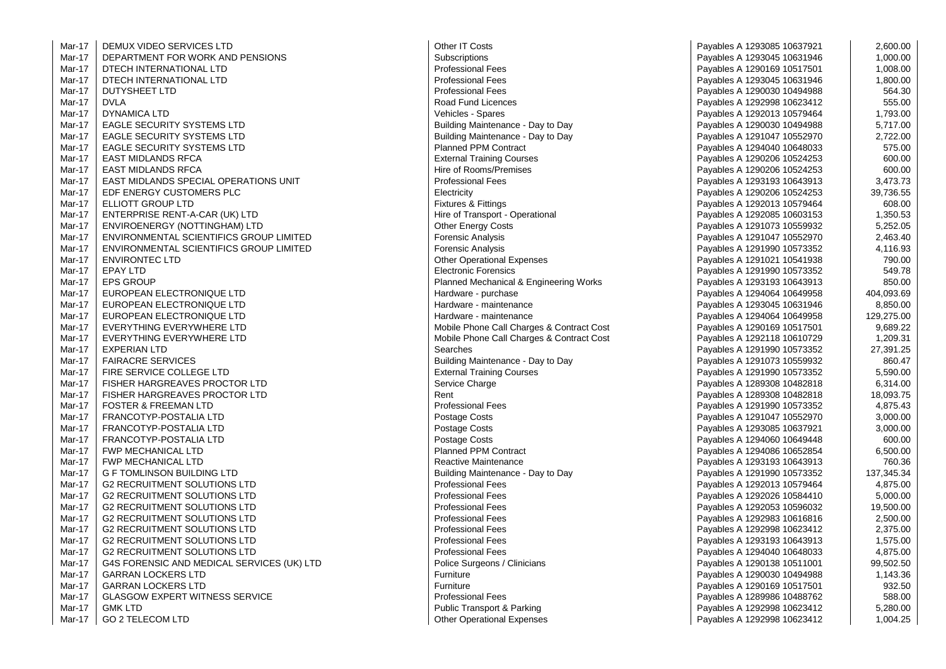| Mar-17 | DEMUX VIDEO SERVICES LTD                   | Other IT Costs                            | Payables A 1293085 10637921 | 2,600.00   |
|--------|--------------------------------------------|-------------------------------------------|-----------------------------|------------|
| Mar-17 | DEPARTMENT FOR WORK AND PENSIONS           | Subscriptions                             | Payables A 1293045 10631946 | 1,000.00   |
| Mar-17 | DTECH INTERNATIONAL LTD                    | <b>Professional Fees</b>                  | Payables A 1290169 10517501 | 1,008.00   |
| Mar-17 | DTECH INTERNATIONAL LTD                    | <b>Professional Fees</b>                  | Payables A 1293045 10631946 | 1,800.00   |
| Mar-17 | <b>DUTYSHEET LTD</b>                       | <b>Professional Fees</b>                  | Payables A 1290030 10494988 | 564.30     |
| Mar-17 | <b>DVLA</b>                                | Road Fund Licences                        | Payables A 1292998 10623412 | 555.00     |
| Mar-17 | <b>DYNAMICA LTD</b>                        | Vehicles - Spares                         | Payables A 1292013 10579464 | 1,793.00   |
| Mar-17 | <b>EAGLE SECURITY SYSTEMS LTD</b>          | Building Maintenance - Day to Day         | Payables A 1290030 10494988 | 5,717.00   |
| Mar-17 | <b>EAGLE SECURITY SYSTEMS LTD</b>          | Building Maintenance - Day to Day         | Payables A 1291047 10552970 | 2,722.00   |
| Mar-17 | <b>EAGLE SECURITY SYSTEMS LTD</b>          | <b>Planned PPM Contract</b>               | Payables A 1294040 10648033 | 575.00     |
| Mar-17 | <b>EAST MIDLANDS RFCA</b>                  | <b>External Training Courses</b>          | Payables A 1290206 10524253 | 600.00     |
| Mar-17 | <b>EAST MIDLANDS RFCA</b>                  | Hire of Rooms/Premises                    | Payables A 1290206 10524253 | 600.00     |
| Mar-17 | EAST MIDLANDS SPECIAL OPERATIONS UNIT      | <b>Professional Fees</b>                  | Payables A 1293193 10643913 | 3,473.73   |
| Mar-17 | EDF ENERGY CUSTOMERS PLC                   | Electricity                               | Payables A 1290206 10524253 | 39,736.55  |
| Mar-17 | ELLIOTT GROUP LTD                          | Fixtures & Fittings                       | Payables A 1292013 10579464 | 608.00     |
| Mar-17 | ENTERPRISE RENT-A-CAR (UK) LTD             | Hire of Transport - Operational           | Payables A 1292085 10603153 | 1,350.53   |
| Mar-17 | ENVIROENERGY (NOTTINGHAM) LTD              | <b>Other Energy Costs</b>                 | Payables A 1291073 10559932 | 5,252.05   |
| Mar-17 | ENVIRONMENTAL SCIENTIFICS GROUP LIMITED    | <b>Forensic Analysis</b>                  | Payables A 1291047 10552970 | 2,463.40   |
| Mar-17 | ENVIRONMENTAL SCIENTIFICS GROUP LIMITED    | <b>Forensic Analysis</b>                  | Payables A 1291990 10573352 | 4,116.93   |
| Mar-17 | <b>ENVIRONTEC LTD</b>                      | <b>Other Operational Expenses</b>         | Payables A 1291021 10541938 | 790.00     |
| Mar-17 | <b>EPAY LTD</b>                            | <b>Electronic Forensics</b>               | Payables A 1291990 10573352 | 549.78     |
| Mar-17 | <b>EPS GROUP</b>                           | Planned Mechanical & Engineering Works    | Payables A 1293193 10643913 | 850.00     |
| Mar-17 | EUROPEAN ELECTRONIQUE LTD                  | Hardware - purchase                       | Payables A 1294064 10649958 | 404,093.69 |
| Mar-17 | EUROPEAN ELECTRONIQUE LTD                  | Hardware - maintenance                    | Payables A 1293045 10631946 | 8,850.00   |
| Mar-17 | EUROPEAN ELECTRONIQUE LTD                  | Hardware - maintenance                    | Payables A 1294064 10649958 | 129,275.00 |
| Mar-17 | EVERYTHING EVERYWHERE LTD                  | Mobile Phone Call Charges & Contract Cost | Payables A 1290169 10517501 | 9,689.22   |
| Mar-17 | EVERYTHING EVERYWHERE LTD                  | Mobile Phone Call Charges & Contract Cost | Payables A 1292118 10610729 | 1,209.31   |
| Mar-17 | <b>EXPERIAN LTD</b>                        | Searches                                  | Payables A 1291990 10573352 | 27,391.25  |
| Mar-17 | <b>FAIRACRE SERVICES</b>                   | Building Maintenance - Day to Day         | Payables A 1291073 10559932 | 860.47     |
| Mar-17 | FIRE SERVICE COLLEGE LTD                   | <b>External Training Courses</b>          | Payables A 1291990 10573352 | 5,590.00   |
| Mar-17 | FISHER HARGREAVES PROCTOR LTD              | Service Charge                            | Payables A 1289308 10482818 | 6,314.00   |
| Mar-17 | FISHER HARGREAVES PROCTOR LTD              | Rent                                      | Payables A 1289308 10482818 | 18,093.75  |
| Mar-17 | <b>FOSTER &amp; FREEMAN LTD</b>            | <b>Professional Fees</b>                  | Payables A 1291990 10573352 | 4,875.43   |
| Mar-17 | FRANCOTYP-POSTALIA LTD                     | Postage Costs                             | Payables A 1291047 10552970 | 3,000.00   |
| Mar-17 | FRANCOTYP-POSTALIA LTD                     | Postage Costs                             | Payables A 1293085 10637921 | 3,000.00   |
| Mar-17 | FRANCOTYP-POSTALIA LTD                     | Postage Costs                             | Payables A 1294060 10649448 | 600.00     |
| Mar-17 | <b>FWP MECHANICAL LTD</b>                  | <b>Planned PPM Contract</b>               | Payables A 1294086 10652854 | 6,500.00   |
| Mar-17 | <b>FWP MECHANICAL LTD</b>                  | Reactive Maintenance                      | Payables A 1293193 10643913 | 760.36     |
| Mar-17 | <b>G F TOMLINSON BUILDING LTD</b>          | Building Maintenance - Day to Day         | Payables A 1291990 10573352 | 137,345.34 |
| Mar-17 | <b>G2 RECRUITMENT SOLUTIONS LTD</b>        | <b>Professional Fees</b>                  | Payables A 1292013 10579464 | 4,875.00   |
| Mar-17 | <b>G2 RECRUITMENT SOLUTIONS LTD</b>        | <b>Professional Fees</b>                  | Payables A 1292026 10584410 | 5,000.00   |
| Mar-17 | <b>G2 RECRUITMENT SOLUTIONS LTD</b>        | <b>Professional Fees</b>                  | Payables A 1292053 10596032 | 19,500.00  |
| Mar-17 | <b>G2 RECRUITMENT SOLUTIONS LTD</b>        | <b>Professional Fees</b>                  | Payables A 1292983 10616816 | 2,500.00   |
| Mar-17 | <b>G2 RECRUITMENT SOLUTIONS LTD</b>        | <b>Professional Fees</b>                  | Payables A 1292998 10623412 | 2,375.00   |
| Mar-17 | <b>G2 RECRUITMENT SOLUTIONS LTD</b>        | <b>Professional Fees</b>                  | Payables A 1293193 10643913 | 1,575.00   |
| Mar-17 | <b>G2 RECRUITMENT SOLUTIONS LTD</b>        | <b>Professional Fees</b>                  | Payables A 1294040 10648033 | 4,875.00   |
| Mar-17 | G4S FORENSIC AND MEDICAL SERVICES (UK) LTD | Police Surgeons / Clinicians              | Payables A 1290138 10511001 | 99,502.50  |
| Mar-17 | <b>GARRAN LOCKERS LTD</b>                  | Furniture                                 | Payables A 1290030 10494988 | 1,143.36   |
| Mar-17 | <b>GARRAN LOCKERS LTD</b>                  | Furniture                                 | Payables A 1290169 10517501 | 932.50     |
| Mar-17 | <b>GLASGOW EXPERT WITNESS SERVICE</b>      | <b>Professional Fees</b>                  | Payables A 1289986 10488762 | 588.00     |
| Mar-17 | <b>GMK LTD</b>                             | Public Transport & Parking                | Payables A 1292998 10623412 | 5,280.00   |
| Mar-17 | <b>GO 2 TELECOM LTD</b>                    | <b>Other Operational Expenses</b>         | Payables A 1292998 10623412 | 1,004.25   |
|        |                                            |                                           |                             |            |

| Other IT Costs                                                        |
|-----------------------------------------------------------------------|
| Subscriptions                                                         |
| <b>Professional Fees</b>                                              |
| <b>Professional Fees</b>                                              |
| <b>Professional Fees</b>                                              |
| <b>Road Fund Licences</b>                                             |
| Vehicles - Spares                                                     |
| Building Maintenance - Day to Day                                     |
| Building Maintenance - Day to Day                                     |
| <b>Planned PPM Contract</b>                                           |
| <b>External Training Courses</b>                                      |
| Hire of Rooms/Premises                                                |
| <b>Professional Fees</b>                                              |
| Electricity                                                           |
| Fixtures & Fittings                                                   |
| Hire of Transport - Operational                                       |
| <b>Other Energy Costs</b>                                             |
| Forensic Analysis                                                     |
| Forensic Analysis                                                     |
| <b>Other Operational Expenses</b>                                     |
| <b>Electronic Forensics</b>                                           |
| Planned Mechanical & Engineering Works                                |
| Hardware - purchase                                                   |
| Hardware - maintenance                                                |
| Hardware - maintenance                                                |
|                                                                       |
| Mobile Phone Call Charges & Contract Cos                              |
| Mobile Phone Call Charges & Contract Cos<br>Searches                  |
|                                                                       |
| Building Maintenance - Day to Day<br><b>External Training Courses</b> |
|                                                                       |
| Service Charge                                                        |
| Rent                                                                  |
| <b>Professional Fees</b>                                              |
| Postage Costs                                                         |
| Postage Costs                                                         |
| Postage Costs                                                         |
| <b>Planned PPM Contract</b>                                           |
| <b>Reactive Maintenance</b>                                           |
| Building Maintenance - Day to Day                                     |
| <b>Professional Fees</b>                                              |
| <b>Professional Fees</b>                                              |
| <b>Professional Fees</b>                                              |
| Professional Fees                                                     |
| <b>Professional Fees</b>                                              |
| <b>Professional Fees</b>                                              |
| <b>Professional Fees</b>                                              |
| Police Surgeons / Clinicians                                          |
| Furniture                                                             |
| Furniture                                                             |
| <b>Professional Fees</b>                                              |
| <b>Public Transport &amp; Parking</b>                                 |
| <b>Other Operational Expenses</b>                                     |

| O SERVICES LTD                    | Other IT Costs                            | Payables A 1293085 10637921 | 2,600.00   |
|-----------------------------------|-------------------------------------------|-----------------------------|------------|
| IT FOR WORK AND PENSIONS          | Subscriptions                             | Payables A 1293045 10631946 | 1,000.00   |
| RNATIONAL LTD                     | <b>Professional Fees</b>                  | Payables A 1290169 10517501 | 1,008.00   |
| RNATIONAL LTD                     | <b>Professional Fees</b>                  | Payables A 1293045 10631946 | 1,800.00   |
| <b>LTD</b>                        | <b>Professional Fees</b>                  | Payables A 1290030 10494988 | 564.30     |
|                                   | Road Fund Licences                        | Payables A 1292998 10623412 | 555.00     |
| TD                                | Vehicles - Spares                         | Payables A 1292013 10579464 | 1,793.00   |
| IRITY SYSTEMS LTD                 | Building Maintenance - Day to Day         | Payables A 1290030 10494988 | 5,717.00   |
| IRITY SYSTEMS LTD                 | Building Maintenance - Day to Day         | Payables A 1291047 10552970 | 2,722.00   |
| IRITY SYSTEMS LTD                 | Planned PPM Contract                      | Payables A 1294040 10648033 | 575.00     |
| <b>VDS RFCA</b>                   | <b>External Training Courses</b>          | Payables A 1290206 10524253 | 600.00     |
| <b>NDS RFCA</b>                   | Hire of Rooms/Premises                    | Payables A 1290206 10524253 | 600.00     |
| NDS SPECIAL OPERATIONS UNIT       | <b>Professional Fees</b>                  | Payables A 1293193 10643913 | 3,473.73   |
| Y CUSTOMERS PLC                   | Electricity                               | Payables A 1290206 10524253 | 39,736.55  |
| JUP LTD                           | Fixtures & Fittings                       | Payables A 1292013 10579464 | 608.00     |
| : RENT-A-CAR (UK) LTD             | Hire of Transport - Operational           | Payables A 1292085 10603153 | 1,350.53   |
| RGY (NOTTINGHAM) LTD              | <b>Other Energy Costs</b>                 | Payables A 1291073 10559932 | 5,252.05   |
| NTAL SCIENTIFICS GROUP LIMITED    | <b>Forensic Analysis</b>                  | Payables A 1291047 10552970 | 2,463.40   |
| NTAL SCIENTIFICS GROUP LIMITED    | Forensic Analysis                         | Payables A 1291990 10573352 | 4,116.93   |
| C LTD                             | <b>Other Operational Expenses</b>         | Payables A 1291021 10541938 | 790.00     |
|                                   | <b>Electronic Forensics</b>               | Payables A 1291990 10573352 | 549.78     |
|                                   | Planned Mechanical & Engineering Works    | Payables A 1293193 10643913 | 850.00     |
| ELECTRONIQUE LTD                  | Hardware - purchase                       | Payables A 1294064 10649958 | 404,093.69 |
| ELECTRONIQUE LTD                  | Hardware - maintenance                    | Payables A 1293045 10631946 | 8,850.00   |
| ELECTRONIQUE LTD                  | Hardware - maintenance                    | Payables A 1294064 10649958 | 129,275.00 |
| S EVERYWHERE LTD                  | Mobile Phone Call Charges & Contract Cost | Payables A 1290169 10517501 | 9,689.22   |
| G EVERYWHERE LTD                  | Mobile Phone Call Charges & Contract Cost | Payables A 1292118 10610729 | 1,209.31   |
| ГD.                               | Searches                                  | Payables A 1291990 10573352 | 27,391.25  |
| ERVICES                           | Building Maintenance - Day to Day         | Payables A 1291073 10559932 | 860.47     |
| E COLLEGE LTD                     | <b>External Training Courses</b>          | Payables A 1291990 10573352 | 5,590.00   |
| GREAVES PROCTOR LTD               | Service Charge                            | Payables A 1289308 10482818 | 6,314.00   |
| GREAVES PROCTOR LTD               | Rent                                      | Payables A 1289308 10482818 | 18,093.75  |
| REEMAN LTD                        | <b>Professional Fees</b>                  | Payables A 1291990 10573352 | 4,875.43   |
| -POSTALIA LTD                     | Postage Costs                             | Payables A 1291047 10552970 | 3,000.00   |
| -POSTALIA LTD                     | Postage Costs                             | Payables A 1293085 10637921 | 3,000.00   |
| -POSTALIA LTD                     | Postage Costs                             | Payables A 1294060 10649448 | 600.00     |
| NICAL LTD                         | <b>Planned PPM Contract</b>               | Payables A 1294086 10652854 | 6,500.00   |
| NICAL LTD                         | Reactive Maintenance                      | Payables A 1293193 10643913 | 760.36     |
| ON BUILDING LTD                   | Building Maintenance - Day to Day         | Payables A 1291990 10573352 | 137,345.34 |
| MENT SOLUTIONS LTD                | <b>Professional Fees</b>                  | Payables A 1292013 10579464 | 4,875.00   |
| MENT SOLUTIONS LTD                | <b>Professional Fees</b>                  | Payables A 1292026 10584410 | 5,000.00   |
| MENT SOLUTIONS LTD                | <b>Professional Fees</b>                  | Payables A 1292053 10596032 | 19,500.00  |
| MENT SOLUTIONS LTD                | <b>Professional Fees</b>                  | Payables A 1292983 10616816 | 2,500.00   |
| MENT SOLUTIONS LTD                | <b>Professional Fees</b>                  | Payables A 1292998 10623412 | 2,375.00   |
| MENT SOLUTIONS LTD                | <b>Professional Fees</b>                  | Payables A 1293193 10643913 | 1,575.00   |
| MENT SOLUTIONS LTD                | <b>Professional Fees</b>                  | Payables A 1294040 10648033 | 4,875.00   |
| SIC AND MEDICAL SERVICES (UK) LTD | Police Surgeons / Clinicians              | Payables A 1290138 10511001 | 99,502.50  |
| CKERS LTD                         | Furniture                                 | Payables A 1290030 10494988 | 1,143.36   |
| CKERS LTD                         | Furniture                                 | Payables A 1290169 10517501 | 932.50     |
| XPERT WITNESS SERVICE             | <b>Professional Fees</b>                  | Payables A 1289986 10488762 | 588.00     |
|                                   | Public Transport & Parking                | Payables A 1292998 10623412 | 5,280.00   |
| חד ו ואר                          | Other Operational Expenses                | Pavables A 1292998 10623412 | 1.004.25   |
|                                   |                                           |                             |            |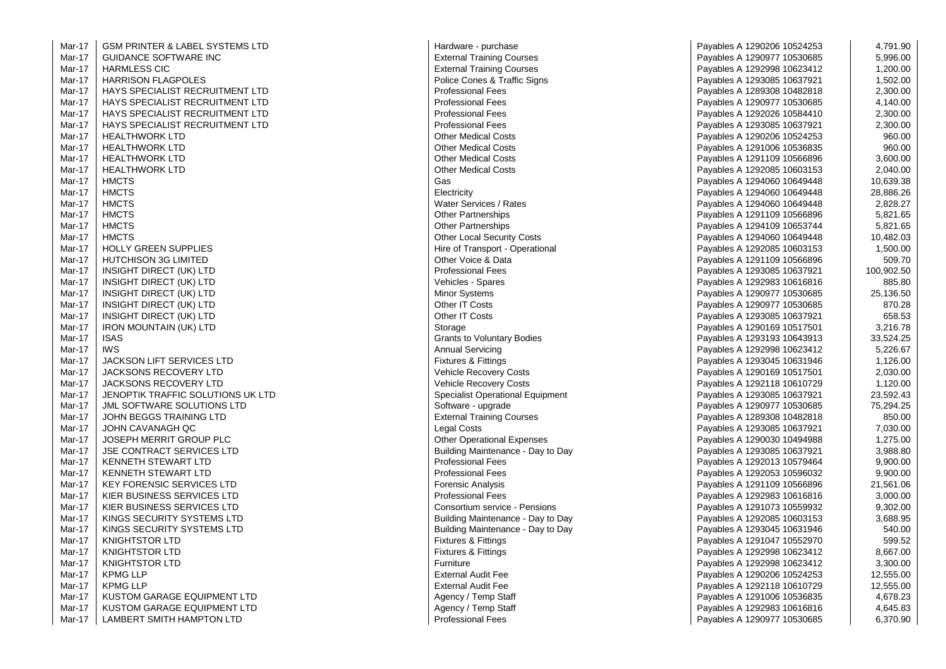| Mar-17 | <b>GSM PRINTER &amp; LABEL SYSTEMS LTD</b> | Hardware - purchase                     | Payables A 1290206 10524253 | 4,791.90   |
|--------|--------------------------------------------|-----------------------------------------|-----------------------------|------------|
| Mar-17 | <b>GUIDANCE SOFTWARE INC</b>               | <b>External Training Courses</b>        | Payables A 1290977 10530685 | 5,996.00   |
| Mar-17 | <b>HARMLESS CIC</b>                        | <b>External Training Courses</b>        | Payables A 1292998 10623412 | 1,200.00   |
| Mar-17 | <b>HARRISON FLAGPOLES</b>                  | Police Cones & Traffic Signs            | Payables A 1293085 10637921 | 1,502.00   |
| Mar-17 | HAYS SPECIALIST RECRUITMENT LTD            | <b>Professional Fees</b>                | Payables A 1289308 10482818 | 2,300.00   |
| Mar-17 | HAYS SPECIALIST RECRUITMENT LTD            | <b>Professional Fees</b>                | Payables A 1290977 10530685 | 4,140.00   |
| Mar-17 | HAYS SPECIALIST RECRUITMENT LTD            | <b>Professional Fees</b>                | Payables A 1292026 10584410 | 2,300.00   |
| Mar-17 | HAYS SPECIALIST RECRUITMENT LTD            | <b>Professional Fees</b>                | Payables A 1293085 10637921 | 2,300.00   |
| Mar-17 | <b>HEALTHWORK LTD</b>                      | <b>Other Medical Costs</b>              | Payables A 1290206 10524253 | 960.00     |
| Mar-17 | <b>HEALTHWORK LTD</b>                      | <b>Other Medical Costs</b>              | Payables A 1291006 10536835 | 960.00     |
| Mar-17 | <b>HEALTHWORK LTD</b>                      | <b>Other Medical Costs</b>              | Payables A 1291109 10566896 | 3,600.00   |
| Mar-17 | <b>HEALTHWORK LTD</b>                      | <b>Other Medical Costs</b>              | Payables A 1292085 10603153 | 2,040.00   |
| Mar-17 | <b>HMCTS</b>                               | Gas                                     | Payables A 1294060 10649448 | 10,639.38  |
| Mar-17 | <b>HMCTS</b>                               | Electricity                             | Payables A 1294060 10649448 | 28,886.26  |
| Mar-17 | <b>HMCTS</b>                               | Water Services / Rates                  | Payables A 1294060 10649448 | 2,828.27   |
| Mar-17 | <b>HMCTS</b>                               | <b>Other Partnerships</b>               | Payables A 1291109 10566896 | 5,821.65   |
| Mar-17 | <b>HMCTS</b>                               | Other Partnerships                      | Payables A 1294109 10653744 | 5,821.65   |
| Mar-17 | <b>HMCTS</b>                               | <b>Other Local Security Costs</b>       | Payables A 1294060 10649448 | 10,482.03  |
| Mar-17 | <b>HOLLY GREEN SUPPLIES</b>                | Hire of Transport - Operational         | Payables A 1292085 10603153 | 1,500.00   |
| Mar-17 | HUTCHISON 3G LIMITED                       | Other Voice & Data                      | Payables A 1291109 10566896 | 509.70     |
| Mar-17 | INSIGHT DIRECT (UK) LTD                    | <b>Professional Fees</b>                | Payables A 1293085 10637921 | 100,902.50 |
| Mar-17 | INSIGHT DIRECT (UK) LTD                    | Vehicles - Spares                       | Payables A 1292983 10616816 | 885.80     |
| Mar-17 | INSIGHT DIRECT (UK) LTD                    | <b>Minor Systems</b>                    | Payables A 1290977 10530685 | 25,136.50  |
| Mar-17 | INSIGHT DIRECT (UK) LTD                    | Other IT Costs                          | Payables A 1290977 10530685 | 870.28     |
| Mar-17 | INSIGHT DIRECT (UK) LTD                    | Other IT Costs                          | Payables A 1293085 10637921 | 658.53     |
| Mar-17 | <b>IRON MOUNTAIN (UK) LTD</b>              | Storage                                 | Payables A 1290169 10517501 | 3,216.78   |
| Mar-17 | <b>ISAS</b>                                | <b>Grants to Voluntary Bodies</b>       | Payables A 1293193 10643913 | 33,524.25  |
| Mar-17 | <b>IWS</b>                                 | <b>Annual Servicing</b>                 | Payables A 1292998 10623412 | 5,226.67   |
| Mar-17 | JACKSON LIFT SERVICES LTD                  | <b>Fixtures &amp; Fittings</b>          | Payables A 1293045 10631946 | 1,126.00   |
| Mar-17 | <b>JACKSONS RECOVERY LTD</b>               | <b>Vehicle Recovery Costs</b>           | Payables A 1290169 10517501 | 2,030.00   |
| Mar-17 | JACKSONS RECOVERY LTD                      | <b>Vehicle Recovery Costs</b>           | Payables A 1292118 10610729 | 1,120.00   |
| Mar-17 | JENOPTIK TRAFFIC SOLUTIONS UK LTD          | <b>Specialist Operational Equipment</b> | Payables A 1293085 10637921 | 23,592.43  |
| Mar-17 | JML SOFTWARE SOLUTIONS LTD                 | Software - upgrade                      | Payables A 1290977 10530685 | 75,294.25  |
| Mar-17 | JOHN BEGGS TRAINING LTD                    | <b>External Training Courses</b>        | Payables A 1289308 10482818 | 850.00     |
| Mar-17 | JOHN CAVANAGH QC                           | Legal Costs                             | Payables A 1293085 10637921 | 7,030.00   |
| Mar-17 | JOSEPH MERRIT GROUP PLC                    | <b>Other Operational Expenses</b>       | Payables A 1290030 10494988 | 1,275.00   |
| Mar-17 | <b>JSE CONTRACT SERVICES LTD</b>           | Building Maintenance - Day to Day       | Payables A 1293085 10637921 | 3,988.80   |
| Mar-17 | KENNETH STEWART LTD                        | <b>Professional Fees</b>                | Payables A 1292013 10579464 | 9,900.00   |
| Mar-17 | KENNETH STEWART LTD                        | <b>Professional Fees</b>                | Payables A 1292053 10596032 | 9,900.00   |
| Mar-17 | <b>KEY FORENSIC SERVICES LTD</b>           | <b>Forensic Analysis</b>                | Payables A 1291109 10566896 | 21,561.06  |
| Mar-17 | KIER BUSINESS SERVICES LTD                 | <b>Professional Fees</b>                | Payables A 1292983 10616816 | 3,000.00   |
| Mar-17 | KIER BUSINESS SERVICES LTD                 | Consortium service - Pensions           | Payables A 1291073 10559932 | 9,302.00   |
| Mar-17 | KINGS SECURITY SYSTEMS LTD                 | Building Maintenance - Day to Day       | Payables A 1292085 10603153 | 3,688.95   |
| Mar-17 | KINGS SECURITY SYSTEMS LTD                 | Building Maintenance - Day to Day       | Payables A 1293045 10631946 | 540.00     |
| Mar-17 | <b>KNIGHTSTOR LTD</b>                      | <b>Fixtures &amp; Fittings</b>          | Payables A 1291047 10552970 | 599.52     |
| Mar-17 | <b>KNIGHTSTOR LTD</b>                      | <b>Fixtures &amp; Fittings</b>          | Payables A 1292998 10623412 | 8,667.00   |
| Mar-17 | <b>KNIGHTSTOR LTD</b>                      | Furniture                               | Payables A 1292998 10623412 | 3,300.00   |
| Mar-17 | <b>KPMG LLP</b>                            | <b>External Audit Fee</b>               | Payables A 1290206 10524253 | 12,555.00  |
| Mar-17 | <b>KPMG LLP</b>                            | <b>External Audit Fee</b>               | Payables A 1292118 10610729 | 12,555.00  |
| Mar-17 | KUSTOM GARAGE EQUIPMENT LTD                | Agency / Temp Staff                     | Payables A 1291006 10536835 | 4,678.23   |
| Mar-17 | KUSTOM GARAGE EQUIPMENT LTD                | Agency / Temp Staff                     | Payables A 1292983 10616816 | 4,645.83   |
| Mar-17 | LAMBERT SMITH HAMPTON LTD                  | <b>Professional Fees</b>                | Payables A 1290977 10530685 | 6,370.90   |
|        |                                            |                                         |                             |            |

| Hardware - purchase               |
|-----------------------------------|
| <b>External Training Courses</b>  |
| <b>External Training Courses</b>  |
| Police Cones & Traffic Signs      |
| <b>Professional Fees</b>          |
| <b>Professional Fees</b>          |
| Professional Fees                 |
| Professional Fees                 |
| <b>Other Medical Costs</b>        |
|                                   |
| <b>Other Medical Costs</b>        |
| <b>Other Medical Costs</b>        |
| <b>Other Medical Costs</b>        |
| Gas                               |
| Electricity                       |
| Water Services / Rates            |
| <b>Other Partnerships</b>         |
| <b>Other Partnerships</b>         |
| <b>Other Local Security Costs</b> |
| Hire of Transport - Operational   |
| Other Voice & Data                |
| Professional Fees                 |
| Vehicles - Spares                 |
| Minor Systems                     |
| Other IT Costs                    |
| Other IT Costs                    |
|                                   |
| Storage                           |
| <b>Grants to Voluntary Bodies</b> |
| <b>Annual Servicing</b>           |
| <b>Fixtures &amp; Fittings</b>    |
| Vehicle Recovery Costs            |
| <b>Vehicle Recovery Costs</b>     |
| Specialist Operational Equipment  |
| Software - upgrade                |
| <b>External Training Courses</b>  |
| <b>Legal Costs</b>                |
| <b>Other Operational Expenses</b> |
| Building Maintenance - Day to Day |
| <b>Professional Fees</b>          |
| <b>Professional Fees</b>          |
| Forensic Analysis                 |
| <b>Professional Fees</b>          |
| Consortium service - Pensions     |
| Building Maintenance - Day to Day |
| Building Maintenance - Day to Day |
| <b>Fixtures &amp; Fittings</b>    |
| Fixtures & Fittings               |
| Furniture                         |
|                                   |
| <b>External Audit Fee</b>         |
| <b>External Audit Fee</b>         |
| Agency / Temp Staff               |
| Agency / Temp Staff               |
| <b>Professional Fees</b>          |

| -17 | <b>GSM PRINTER &amp; LABEL SYSTEMS LTD</b> | Hardware - purchase                     | Payables A 1290206 10524253 | 4,791.90   |
|-----|--------------------------------------------|-----------------------------------------|-----------------------------|------------|
| -17 | <b>GUIDANCE SOFTWARE INC</b>               | <b>External Training Courses</b>        | Payables A 1290977 10530685 | 5,996.00   |
| -17 | <b>HARMLESS CIC</b>                        | <b>External Training Courses</b>        | Payables A 1292998 10623412 | 1,200.00   |
| -17 | <b>HARRISON FLAGPOLES</b>                  | Police Cones & Traffic Signs            | Payables A 1293085 10637921 | 1,502.00   |
| -17 | <b>HAYS SPECIALIST RECRUITMENT LTD</b>     | <b>Professional Fees</b>                | Payables A 1289308 10482818 | 2,300.00   |
| -17 | HAYS SPECIALIST RECRUITMENT LTD            | <b>Professional Fees</b>                | Payables A 1290977 10530685 | 4,140.00   |
| -17 | HAYS SPECIALIST RECRUITMENT LTD            | <b>Professional Fees</b>                | Payables A 1292026 10584410 | 2,300.00   |
| -17 | HAYS SPECIALIST RECRUITMENT LTD            | <b>Professional Fees</b>                | Payables A 1293085 10637921 | 2,300.00   |
| -17 | <b>HEALTHWORK LTD</b>                      | <b>Other Medical Costs</b>              | Payables A 1290206 10524253 | 960.00     |
| -17 | <b>HEALTHWORK LTD</b>                      | <b>Other Medical Costs</b>              | Payables A 1291006 10536835 | 960.00     |
| -17 | <b>HEALTHWORK LTD</b>                      | <b>Other Medical Costs</b>              | Payables A 1291109 10566896 | 3,600.00   |
| -17 | HEALTHWORK LTD                             | <b>Other Medical Costs</b>              | Payables A 1292085 10603153 | 2,040.00   |
| -17 | <b>HMCTS</b>                               | Gas                                     | Payables A 1294060 10649448 | 10,639.38  |
| -17 | <b>HMCTS</b>                               | Electricity                             | Payables A 1294060 10649448 | 28,886.26  |
| -17 | <b>HMCTS</b>                               | Water Services / Rates                  | Payables A 1294060 10649448 | 2,828.27   |
| -17 | <b>HMCTS</b>                               | <b>Other Partnerships</b>               | Payables A 1291109 10566896 | 5,821.65   |
| -17 | <b>HMCTS</b>                               | <b>Other Partnerships</b>               | Payables A 1294109 10653744 | 5,821.65   |
| -17 | <b>HMCTS</b>                               | <b>Other Local Security Costs</b>       | Payables A 1294060 10649448 | 10,482.03  |
| -17 | <b>HOLLY GREEN SUPPLIES</b>                | Hire of Transport - Operational         | Payables A 1292085 10603153 | 1,500.00   |
| -17 | <b>HUTCHISON 3G LIMITED</b>                | Other Voice & Data                      | Payables A 1291109 10566896 | 509.70     |
| -17 | INSIGHT DIRECT (UK) LTD                    | <b>Professional Fees</b>                | Payables A 1293085 10637921 | 100,902.50 |
| -17 | INSIGHT DIRECT (UK) LTD                    | Vehicles - Spares                       | Payables A 1292983 10616816 | 885.80     |
| -17 | INSIGHT DIRECT (UK) LTD                    | <b>Minor Systems</b>                    | Payables A 1290977 10530685 | 25,136.50  |
| -17 | INSIGHT DIRECT (UK) LTD                    | Other IT Costs                          | Payables A 1290977 10530685 | 870.28     |
| -17 | INSIGHT DIRECT (UK) LTD                    | Other IT Costs                          | Payables A 1293085 10637921 | 658.53     |
| -17 | <b>IRON MOUNTAIN (UK) LTD</b>              | Storage                                 | Payables A 1290169 10517501 | 3,216.78   |
| -17 | <b>ISAS</b>                                | <b>Grants to Voluntary Bodies</b>       | Payables A 1293193 10643913 | 33,524.25  |
| -17 | <b>IWS</b>                                 | <b>Annual Servicing</b>                 | Payables A 1292998 10623412 | 5,226.67   |
| -17 | JACKSON LIFT SERVICES LTD                  | <b>Fixtures &amp; Fittings</b>          | Payables A 1293045 10631946 | 1,126.00   |
| -17 | JACKSONS RECOVERY LTD                      | Vehicle Recovery Costs                  | Payables A 1290169 10517501 | 2,030.00   |
| -17 | <b>JACKSONS RECOVERY LTD</b>               | Vehicle Recovery Costs                  | Payables A 1292118 10610729 | 1,120.00   |
| -17 | JENOPTIK TRAFFIC SOLUTIONS UK LTD          | <b>Specialist Operational Equipment</b> | Payables A 1293085 10637921 | 23,592.43  |
| -17 | JML SOFTWARE SOLUTIONS LTD                 | Software - upgrade                      | Payables A 1290977 10530685 | 75,294.25  |
| -17 | JOHN BEGGS TRAINING LTD                    | <b>External Training Courses</b>        | Payables A 1289308 10482818 | 850.00     |
| -17 | JOHN CAVANAGH QC                           | Legal Costs                             | Payables A 1293085 10637921 | 7,030.00   |
| -17 | JOSEPH MERRIT GROUP PLC                    | <b>Other Operational Expenses</b>       | Payables A 1290030 10494988 | 1,275.00   |
| -17 | <b>JSE CONTRACT SERVICES LTD</b>           | Building Maintenance - Day to Day       | Payables A 1293085 10637921 | 3,988.80   |
| -17 | KENNETH STEWART LTD                        | <b>Professional Fees</b>                | Payables A 1292013 10579464 | 9,900.00   |
| -17 | <b>KENNETH STEWART LTD</b>                 | <b>Professional Fees</b>                | Payables A 1292053 10596032 | 9,900.00   |
| -17 | KEY FORENSIC SERVICES LTD                  | <b>Forensic Analysis</b>                | Payables A 1291109 10566896 | 21,561.06  |
| -17 | KIER BUSINESS SERVICES LTD                 | <b>Professional Fees</b>                | Payables A 1292983 10616816 | 3,000.00   |
| -17 | KIER BUSINESS SERVICES LTD                 | Consortium service - Pensions           | Payables A 1291073 10559932 | 9,302.00   |
| -17 | KINGS SECURITY SYSTEMS LTD                 | Building Maintenance - Day to Day       | Payables A 1292085 10603153 | 3,688.95   |
| -17 | KINGS SECURITY SYSTEMS LTD                 | Building Maintenance - Day to Day       | Payables A 1293045 10631946 | 540.00     |
| -17 | <b>KNIGHTSTOR LTD</b>                      | Fixtures & Fittings                     | Payables A 1291047 10552970 | 599.52     |
| -17 | <b>KNIGHTSTOR LTD</b>                      | <b>Fixtures &amp; Fittings</b>          | Payables A 1292998 10623412 | 8,667.00   |
| -17 | <b>KNIGHTSTOR LTD</b>                      | Furniture                               | Payables A 1292998 10623412 | 3,300.00   |
| -17 | <b>KPMG LLP</b>                            | <b>External Audit Fee</b>               | Payables A 1290206 10524253 | 12,555.00  |
| -17 | <b>KPMG LLP</b>                            | <b>External Audit Fee</b>               | Payables A 1292118 10610729 | 12,555.00  |
| -17 | KUSTOM GARAGE EQUIPMENT LTD                | Agency / Temp Staff                     | Payables A 1291006 10536835 | 4,678.23   |
| -17 | KUSTOM GARAGE EQUIPMENT LTD                | Agency / Temp Staff                     | Payables A 1292983 10616816 | 4,645.83   |
| -17 | LAMBERT SMITH HAMPTON LTD                  | <b>Professional Fees</b>                | Pavables A 1290977 10530685 | 6.370.90   |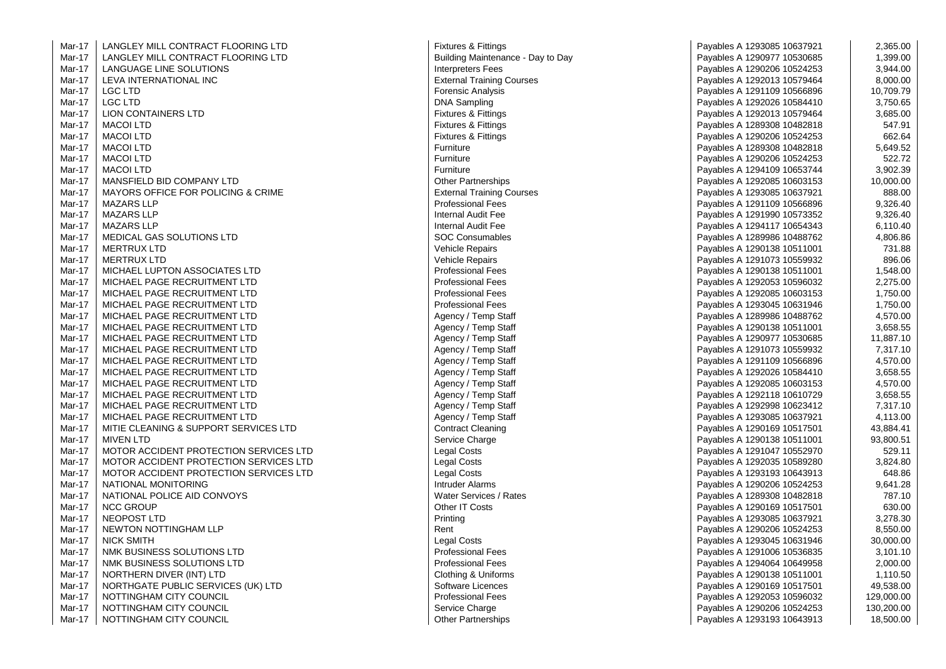| Mar-17 | LANGLEY MILL CONTRACT FLOORING LTD     | <b>Fixtures &amp; Fittings</b>    | Payables A 1293085 10637921 | 2,365.00   |
|--------|----------------------------------------|-----------------------------------|-----------------------------|------------|
| Mar-17 | LANGLEY MILL CONTRACT FLOORING LTD     | Building Maintenance - Day to Day | Payables A 1290977 10530685 | 1,399.00   |
| Mar-17 | LANGUAGE LINE SOLUTIONS                | <b>Interpreters Fees</b>          | Payables A 1290206 10524253 | 3,944.00   |
| Mar-17 | LEVA INTERNATIONAL INC                 | <b>External Training Courses</b>  | Payables A 1292013 10579464 | 8,000.00   |
| Mar-17 | LGC LTD                                | <b>Forensic Analysis</b>          | Payables A 1291109 10566896 | 10,709.79  |
| Mar-17 | <b>LGC LTD</b>                         | <b>DNA Sampling</b>               | Payables A 1292026 10584410 | 3,750.65   |
| Mar-17 | LION CONTAINERS LTD                    | <b>Fixtures &amp; Fittings</b>    | Payables A 1292013 10579464 | 3,685.00   |
| Mar-17 | <b>MACOI LTD</b>                       | <b>Fixtures &amp; Fittings</b>    | Payables A 1289308 10482818 | 547.91     |
| Mar-17 | <b>MACOI LTD</b>                       | <b>Fixtures &amp; Fittings</b>    | Payables A 1290206 10524253 | 662.64     |
| Mar-17 | <b>MACOI LTD</b>                       | Furniture                         | Payables A 1289308 10482818 | 5,649.52   |
| Mar-17 | <b>MACOI LTD</b>                       | Furniture                         | Payables A 1290206 10524253 | 522.72     |
| Mar-17 | <b>MACOI LTD</b>                       | Furniture                         | Payables A 1294109 10653744 | 3,902.39   |
| Mar-17 | MANSFIELD BID COMPANY LTD              | <b>Other Partnerships</b>         | Payables A 1292085 10603153 | 10,000.00  |
| Mar-17 | MAYORS OFFICE FOR POLICING & CRIME     | <b>External Training Courses</b>  | Payables A 1293085 10637921 | 888.00     |
| Mar-17 | <b>MAZARS LLP</b>                      | <b>Professional Fees</b>          | Payables A 1291109 10566896 | 9,326.40   |
| Mar-17 | <b>MAZARS LLP</b>                      | Internal Audit Fee                | Payables A 1291990 10573352 | 9,326.40   |
| Mar-17 | <b>MAZARS LLP</b>                      | Internal Audit Fee                | Payables A 1294117 10654343 | 6,110.40   |
| Mar-17 | MEDICAL GAS SOLUTIONS LTD              | SOC Consumables                   | Payables A 1289986 10488762 | 4,806.86   |
| Mar-17 | <b>MERTRUX LTD</b>                     | <b>Vehicle Repairs</b>            | Payables A 1290138 10511001 | 731.88     |
| Mar-17 | <b>MERTRUX LTD</b>                     | Vehicle Repairs                   | Payables A 1291073 10559932 | 896.06     |
| Mar-17 | MICHAEL LUPTON ASSOCIATES LTD          | <b>Professional Fees</b>          | Payables A 1290138 10511001 | 1,548.00   |
| Mar-17 | MICHAEL PAGE RECRUITMENT LTD           | <b>Professional Fees</b>          | Payables A 1292053 10596032 | 2,275.00   |
| Mar-17 | MICHAEL PAGE RECRUITMENT LTD           | <b>Professional Fees</b>          | Payables A 1292085 10603153 | 1,750.00   |
| Mar-17 | MICHAEL PAGE RECRUITMENT LTD           | <b>Professional Fees</b>          | Payables A 1293045 10631946 | 1,750.00   |
| Mar-17 | MICHAEL PAGE RECRUITMENT LTD           | Agency / Temp Staff               | Payables A 1289986 10488762 | 4,570.00   |
| Mar-17 | MICHAEL PAGE RECRUITMENT LTD           | Agency / Temp Staff               | Payables A 1290138 10511001 | 3,658.55   |
| Mar-17 | MICHAEL PAGE RECRUITMENT LTD           | Agency / Temp Staff               | Payables A 1290977 10530685 | 11,887.10  |
| Mar-17 | MICHAEL PAGE RECRUITMENT LTD           | Agency / Temp Staff               | Payables A 1291073 10559932 | 7,317.10   |
| Mar-17 | MICHAEL PAGE RECRUITMENT LTD           | Agency / Temp Staff               | Payables A 1291109 10566896 | 4,570.00   |
| Mar-17 | MICHAEL PAGE RECRUITMENT LTD           | Agency / Temp Staff               | Payables A 1292026 10584410 | 3,658.55   |
| Mar-17 | MICHAEL PAGE RECRUITMENT LTD           | Agency / Temp Staff               | Payables A 1292085 10603153 | 4,570.00   |
| Mar-17 | MICHAEL PAGE RECRUITMENT LTD           | Agency / Temp Staff               | Payables A 1292118 10610729 | 3,658.55   |
| Mar-17 | MICHAEL PAGE RECRUITMENT LTD           | Agency / Temp Staff               | Payables A 1292998 10623412 | 7,317.10   |
| Mar-17 | MICHAEL PAGE RECRUITMENT LTD           | Agency / Temp Staff               | Payables A 1293085 10637921 | 4,113.00   |
| Mar-17 | MITIE CLEANING & SUPPORT SERVICES LTD  | <b>Contract Cleaning</b>          | Payables A 1290169 10517501 | 43,884.41  |
| Mar-17 | <b>MIVEN LTD</b>                       | Service Charge                    | Payables A 1290138 10511001 | 93,800.51  |
| Mar-17 | MOTOR ACCIDENT PROTECTION SERVICES LTD | <b>Legal Costs</b>                | Payables A 1291047 10552970 | 529.11     |
| Mar-17 | MOTOR ACCIDENT PROTECTION SERVICES LTD | <b>Legal Costs</b>                | Payables A 1292035 10589280 | 3,824.80   |
| Mar-17 | MOTOR ACCIDENT PROTECTION SERVICES LTD | <b>Legal Costs</b>                | Payables A 1293193 10643913 | 648.86     |
| Mar-17 | NATIONAL MONITORING                    | Intruder Alarms                   | Payables A 1290206 10524253 | 9,641.28   |
| Mar-17 | NATIONAL POLICE AID CONVOYS            | Water Services / Rates            | Payables A 1289308 10482818 | 787.10     |
| Mar-17 | <b>NCC GROUP</b>                       | Other IT Costs                    | Payables A 1290169 10517501 | 630.00     |
| Mar-17 | <b>NEOPOST LTD</b>                     | Printing                          | Payables A 1293085 10637921 | 3,278.30   |
| Mar-17 | NEWTON NOTTINGHAM LLP                  | Rent                              | Payables A 1290206 10524253 | 8,550.00   |
| Mar-17 | <b>NICK SMITH</b>                      | <b>Legal Costs</b>                | Payables A 1293045 10631946 | 30,000.00  |
| Mar-17 | NMK BUSINESS SOLUTIONS LTD             | <b>Professional Fees</b>          | Payables A 1291006 10536835 | 3,101.10   |
| Mar-17 | NMK BUSINESS SOLUTIONS LTD             | <b>Professional Fees</b>          | Payables A 1294064 10649958 | 2,000.00   |
| Mar-17 | NORTHERN DIVER (INT) LTD               | Clothing & Uniforms               | Payables A 1290138 10511001 | 1,110.50   |
| Mar-17 | NORTHGATE PUBLIC SERVICES (UK) LTD     | Software Licences                 | Payables A 1290169 10517501 | 49,538.00  |
| Mar-17 | NOTTINGHAM CITY COUNCIL                | <b>Professional Fees</b>          | Payables A 1292053 10596032 | 129,000.00 |
| Mar-17 | NOTTINGHAM CITY COUNCIL                | Service Charge                    | Payables A 1290206 10524253 | 130,200.00 |
| Mar-17 | NOTTINGHAM CITY COUNCIL                | <b>Other Partnerships</b>         | Payables A 1293193 10643913 | 18,500.00  |
|        |                                        |                                   |                             |            |

 $\alpha$ 

| <b>Fixtures &amp; Fittings</b>    |
|-----------------------------------|
| Building Maintenance - Day to Day |
| <b>Interpreters Fees</b>          |
|                                   |
| <b>External Training Courses</b>  |
| Forensic Analysis                 |
| <b>DNA Sampling</b>               |
| Fixtures & Fittings               |
| Fixtures & Fittings               |
| Fixtures & Fittings               |
| Furniture                         |
| Furniture                         |
| Furniture                         |
| Other Partnerships                |
| <b>External Training Courses</b>  |
| <b>Professional Fees</b>          |
| <b>Internal Audit Fee</b>         |
| <b>Internal Audit Fee</b>         |
| SOC Consumables                   |
| Vehicle Repairs                   |
| <b>Vehicle Repairs</b>            |
| <b>Professional Fees</b>          |
|                                   |
| <b>Professional Fees</b>          |
| <b>Professional Fees</b>          |
| <b>Professional Fees</b>          |
| Agency / Temp Staff               |
| Agency / Temp Staff               |
| Agency / Temp Staff               |
| Agency / Temp Staff               |
| Agency / Temp Staff               |
| Agency / Temp Staff               |
| Agency / Temp Staff               |
| Agency / Temp Staff               |
| Agency / Temp Staff               |
| Agency / Temp Staff               |
| <b>Contract Cleaning</b>          |
| Service Charge                    |
| Legal Costs                       |
| Legal Costs                       |
| Legal Costs                       |
| Intruder Alarms                   |
| Water Services / Rates            |
| Other IT Costs                    |
|                                   |
| Printing                          |
| Rent                              |
| Legal Costs                       |
| Professional Fees                 |
| Professional Fees                 |
| Clothing & Uniforms               |
| Software Licences                 |
| <b>Professional Fees</b>          |
| Service Charge                    |
| <b>Other Partnerships</b>         |

| Payables A 1293085 10637921 | 2,365.00   |
|-----------------------------|------------|
| Payables A 1290977 10530685 | 1,399.00   |
| Payables A 1290206 10524253 | 3,944.00   |
| Payables A 1292013 10579464 | 8,000.00   |
| Payables A 1291109 10566896 | 10,709.79  |
| Payables A 1292026 10584410 | 3,750.65   |
| Payables A 1292013 10579464 | 3,685.00   |
| Payables A 1289308 10482818 | 547.91     |
| Payables A 1290206 10524253 | 662.64     |
| Payables A 1289308 10482818 | 5,649.52   |
| Payables A 1290206 10524253 | 522.72     |
| Payables A 1294109 10653744 | 3,902.39   |
| Payables A 1292085 10603153 | 10,000.00  |
| Payables A 1293085 10637921 | 888.00     |
| Payables A 1291109 10566896 | 9,326.40   |
| Payables A 1291990 10573352 | 9,326.40   |
| Payables A 1294117 10654343 | 6,110.40   |
| Payables A 1289986 10488762 | 4,806.86   |
| Payables A 1290138 10511001 | 731.88     |
| Payables A 1291073 10559932 | 896.06     |
| Payables A 1290138 10511001 | 1,548.00   |
| Payables A 1292053 10596032 | 2,275.00   |
| Payables A 1292085 10603153 | 1,750.00   |
| Payables A 1293045 10631946 | 1,750.00   |
| Payables A 1289986 10488762 | 4,570.00   |
| Payables A 1290138 10511001 | 3,658.55   |
| Payables A 1290977 10530685 | 11,887.10  |
| Payables A 1291073 10559932 | 7,317.10   |
| Payables A 1291109 10566896 | 4,570.00   |
| Payables A 1292026 10584410 | 3,658.55   |
| Payables A 1292085 10603153 | 4,570.00   |
| Payables A 1292118 10610729 | 3,658.55   |
| Payables A 1292998 10623412 | 7,317.10   |
| Payables A 1293085 10637921 | 4,113.00   |
| Payables A 1290169 10517501 | 43,884.41  |
| Payables A 1290138 10511001 | 93,800.51  |
| Payables A 1291047 10552970 | 529.11     |
| Payables A 1292035 10589280 | 3,824.80   |
| Payables A 1293193 10643913 | 648.86     |
| Payables A 1290206 10524253 | 9,641.28   |
| Payables A 1289308 10482818 | 787.10     |
| Payables A 1290169 10517501 | 630.00     |
| Payables A 1293085 10637921 | 3,278.30   |
| Payables A 1290206 10524253 | 8,550.00   |
| Payables A 1293045 10631946 | 30,000.00  |
| Payables A 1291006 10536835 | 3,101.10   |
| Payables A 1294064 10649958 | 2,000.00   |
| Payables A 1290138 10511001 | 1,110.50   |
| Payables A 1290169 10517501 | 49,538.00  |
| Payables A 1292053 10596032 | 129,000.00 |
| Payables A 1290206 10524253 | 130,200.00 |
| Pavables A 1293193 10643913 | 18.500.00  |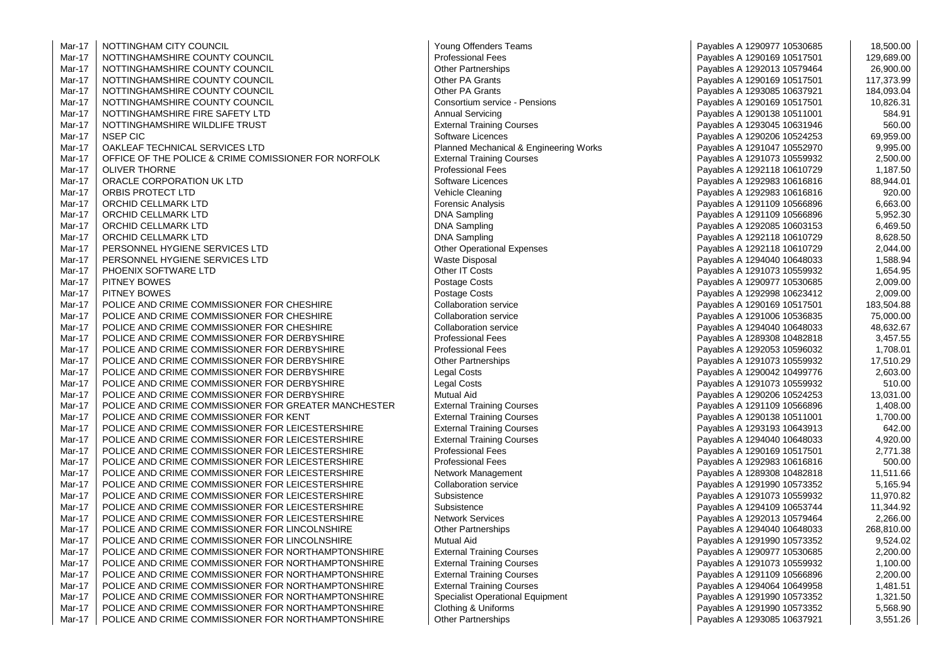| Mar-17        | NOTTINGHAM CITY COUNCIL                              | Young Offenders Teams                   | Payables A 1290977 10530685                                | 18,500.00        |
|---------------|------------------------------------------------------|-----------------------------------------|------------------------------------------------------------|------------------|
| Mar-17        | NOTTINGHAMSHIRE COUNTY COUNCIL                       | <b>Professional Fees</b>                | Payables A 1290169 10517501                                | 129,689.00       |
| Mar-17        | NOTTINGHAMSHIRE COUNTY COUNCIL                       | <b>Other Partnerships</b>               | Payables A 1292013 10579464                                | 26,900.00        |
| Mar-17        | NOTTINGHAMSHIRE COUNTY COUNCIL                       | <b>Other PA Grants</b>                  |                                                            | 117,373.99       |
| Mar-17        | NOTTINGHAMSHIRE COUNTY COUNCIL                       | Other PA Grants                         | Payables A 1290169 10517501<br>Payables A 1293085 10637921 | 184,093.04       |
|               |                                                      |                                         |                                                            |                  |
| Mar-17        | NOTTINGHAMSHIRE COUNTY COUNCIL                       | Consortium service - Pensions           | Payables A 1290169 10517501                                | 10,826.31        |
| Mar-17        | NOTTINGHAMSHIRE FIRE SAFETY LTD                      | <b>Annual Servicing</b>                 | Payables A 1290138 10511001                                | 584.91<br>560.00 |
| Mar-17        | NOTTINGHAMSHIRE WILDLIFE TRUST                       | <b>External Training Courses</b>        | Payables A 1293045 10631946                                |                  |
| Mar-17        | <b>NSEP CIC</b>                                      | Software Licences                       | Payables A 1290206 10524253                                | 69,959.00        |
| <b>Mar-17</b> | OAKLEAF TECHNICAL SERVICES LTD                       | Planned Mechanical & Engineering Works  | Payables A 1291047 10552970                                | 9,995.00         |
| Mar-17        | OFFICE OF THE POLICE & CRIME COMISSIONER FOR NORFOLK | <b>External Training Courses</b>        | Payables A 1291073 10559932                                | 2,500.00         |
| Mar-17        | <b>OLIVER THORNE</b>                                 | <b>Professional Fees</b>                | Payables A 1292118 10610729                                | 1,187.50         |
| Mar-17        | ORACLE CORPORATION UK LTD                            | Software Licences                       | Payables A 1292983 10616816                                | 88,944.01        |
| Mar-17        | ORBIS PROTECT LTD                                    | Vehicle Cleaning                        | Payables A 1292983 10616816                                | 920.00           |
| Mar-17        | ORCHID CELLMARK LTD                                  | <b>Forensic Analysis</b>                | Payables A 1291109 10566896                                | 6,663.00         |
| Mar-17        | ORCHID CELLMARK LTD                                  | DNA Sampling                            | Payables A 1291109 10566896                                | 5,952.30         |
| <b>Mar-17</b> | ORCHID CELLMARK LTD                                  | <b>DNA Sampling</b>                     | Payables A 1292085 10603153                                | 6,469.50         |
| Mar-17        | ORCHID CELLMARK LTD                                  | <b>DNA Sampling</b>                     | Payables A 1292118 10610729                                | 8,628.50         |
| Mar-17        | PERSONNEL HYGIENE SERVICES LTD                       | <b>Other Operational Expenses</b>       | Payables A 1292118 10610729                                | 2,044.00         |
| Mar-17        | PERSONNEL HYGIENE SERVICES LTD                       | <b>Waste Disposal</b>                   | Payables A 1294040 10648033                                | 1,588.94         |
| Mar-17        | PHOENIX SOFTWARE LTD                                 | Other IT Costs                          | Payables A 1291073 10559932                                | 1,654.95         |
| Mar-17        | PITNEY BOWES                                         | Postage Costs                           | Payables A 1290977 10530685                                | 2,009.00         |
| Mar-17        | PITNEY BOWES                                         | Postage Costs                           | Payables A 1292998 10623412                                | 2,009.00         |
| Mar-17        | POLICE AND CRIME COMMISSIONER FOR CHESHIRE           | Collaboration service                   | Payables A 1290169 10517501                                | 183,504.88       |
| Mar-17        | POLICE AND CRIME COMMISSIONER FOR CHESHIRE           | <b>Collaboration service</b>            | Payables A 1291006 10536835                                | 75,000.00        |
| Mar-17        | POLICE AND CRIME COMMISSIONER FOR CHESHIRE           | <b>Collaboration service</b>            | Payables A 1294040 10648033                                | 48,632.67        |
| Mar-17        | POLICE AND CRIME COMMISSIONER FOR DERBYSHIRE         | <b>Professional Fees</b>                | Payables A 1289308 10482818                                | 3,457.55         |
| Mar-17        | POLICE AND CRIME COMMISSIONER FOR DERBYSHIRE         | <b>Professional Fees</b>                | Payables A 1292053 10596032                                | 1,708.01         |
| Mar-17        | POLICE AND CRIME COMMISSIONER FOR DERBYSHIRE         | <b>Other Partnerships</b>               | Payables A 1291073 10559932                                | 17,510.29        |
| Mar-17        | POLICE AND CRIME COMMISSIONER FOR DERBYSHIRE         | Legal Costs                             | Payables A 1290042 10499776                                | 2,603.00         |
| Mar-17        | POLICE AND CRIME COMMISSIONER FOR DERBYSHIRE         | <b>Legal Costs</b>                      | Payables A 1291073 10559932                                | 510.00           |
| Mar-17        | POLICE AND CRIME COMMISSIONER FOR DERBYSHIRE         | <b>Mutual Aid</b>                       | Payables A 1290206 10524253                                | 13,031.00        |
| Mar-17        | POLICE AND CRIME COMMISSIONER FOR GREATER MANCHESTER | <b>External Training Courses</b>        | Payables A 1291109 10566896                                | 1,408.00         |
| Mar-17        | POLICE AND CRIME COMMISSIONER FOR KENT               | <b>External Training Courses</b>        | Payables A 1290138 10511001                                | 1,700.00         |
| Mar-17        | POLICE AND CRIME COMMISSIONER FOR LEICESTERSHIRE     | <b>External Training Courses</b>        | Payables A 1293193 10643913                                | 642.00           |
| Mar-17        | POLICE AND CRIME COMMISSIONER FOR LEICESTERSHIRE     | <b>External Training Courses</b>        | Payables A 1294040 10648033                                | 4,920.00         |
| Mar-17        | POLICE AND CRIME COMMISSIONER FOR LEICESTERSHIRE     | <b>Professional Fees</b>                | Payables A 1290169 10517501                                | 2,771.38         |
| Mar-17        | POLICE AND CRIME COMMISSIONER FOR LEICESTERSHIRE     | <b>Professional Fees</b>                | Payables A 1292983 10616816                                | 500.00           |
| Mar-17        | POLICE AND CRIME COMMISSIONER FOR LEICESTERSHIRE     | Network Management                      | Payables A 1289308 10482818                                | 11,511.66        |
| Mar-17        | POLICE AND CRIME COMMISSIONER FOR LEICESTERSHIRE     | <b>Collaboration service</b>            | Payables A 1291990 10573352                                | 5,165.94         |
| Mar-17        | POLICE AND CRIME COMMISSIONER FOR LEICESTERSHIRE     | Subsistence                             | Payables A 1291073 10559932                                | 11,970.82        |
| Mar-17        | POLICE AND CRIME COMMISSIONER FOR LEICESTERSHIRE     | Subsistence                             | Payables A 1294109 10653744                                | 11,344.92        |
| Mar-17        | POLICE AND CRIME COMMISSIONER FOR LEICESTERSHIRE     | <b>Network Services</b>                 | Payables A 1292013 10579464                                | 2,266.00         |
| Mar-17        | POLICE AND CRIME COMMISSIONER FOR LINCOLNSHIRE       | <b>Other Partnerships</b>               | Payables A 1294040 10648033                                | 268,810.00       |
| Mar-17        | POLICE AND CRIME COMMISSIONER FOR LINCOLNSHIRE       | <b>Mutual Aid</b>                       | Payables A 1291990 10573352                                | 9,524.02         |
| Mar-17        | POLICE AND CRIME COMMISSIONER FOR NORTHAMPTONSHIRE   | <b>External Training Courses</b>        | Payables A 1290977 10530685                                | 2,200.00         |
| Mar-17        | POLICE AND CRIME COMMISSIONER FOR NORTHAMPTONSHIRE   | <b>External Training Courses</b>        | Payables A 1291073 10559932                                | 1,100.00         |
| <b>Mar-17</b> | POLICE AND CRIME COMMISSIONER FOR NORTHAMPTONSHIRE   | <b>External Training Courses</b>        | Payables A 1291109 10566896                                | 2,200.00         |
| <b>Mar-17</b> | POLICE AND CRIME COMMISSIONER FOR NORTHAMPTONSHIRE   | <b>External Training Courses</b>        | Payables A 1294064 10649958                                | 1,481.51         |
| Mar-17        | POLICE AND CRIME COMMISSIONER FOR NORTHAMPTONSHIRE   | <b>Specialist Operational Equipment</b> | Payables A 1291990 10573352                                | 1,321.50         |
| Mar-17        | POLICE AND CRIME COMMISSIONER FOR NORTHAMPTONSHIRE   | Clothing & Uniforms                     | Payables A 1291990 10573352                                | 5,568.90         |
| Mar-17        | POLICE AND CRIME COMMISSIONER FOR NORTHAMPTONSHIRE   | <b>Other Partnerships</b>               | Payables A 1293085 10637921                                | 3,551.26         |
|               |                                                      |                                         |                                                            |                  |

| ams                   | Payables A 1290977 10530685 | 18,500.00  |
|-----------------------|-----------------------------|------------|
|                       | Payables A 1290169 10517501 | 129,689.00 |
|                       | Payables A 1292013 10579464 | 26,900.00  |
|                       | Payables A 1290169 10517501 | 117,373.99 |
|                       | Payables A 1293085 10637921 | 184,093.04 |
| - Pensions            | Payables A 1290169 10517501 | 10,826.31  |
|                       | Payables A 1290138 10511001 | 584.91     |
| ourses                | Payables A 1293045 10631946 | 560.00     |
|                       | Payables A 1290206 10524253 | 69,959.00  |
| l & Engineering Works | Payables A 1291047 10552970 | 9,995.00   |
| ourses                | Payables A 1291073 10559932 | 2,500.00   |
|                       | Payables A 1292118 10610729 | 1,187.50   |
|                       | Payables A 1292983 10616816 | 88,944.01  |
|                       | Payables A 1292983 10616816 | 920.00     |
|                       | Payables A 1291109 10566896 | 6,663.00   |
|                       | Payables A 1291109 10566896 | 5,952.30   |
|                       | Payables A 1292085 10603153 | 6,469.50   |
|                       | Payables A 1292118 10610729 | 8,628.50   |
| xpenses               | Payables A 1292118 10610729 | 2,044.00   |
|                       | Payables A 1294040 10648033 | 1,588.94   |
|                       | Payables A 1291073 10559932 | 1,654.95   |
|                       | Payables A 1290977 10530685 | 2,009.00   |
|                       | Payables A 1292998 10623412 | 2,009.00   |
| е                     | Payables A 1290169 10517501 | 183,504.88 |
| e                     | Payables A 1291006 10536835 | 75,000.00  |
| e                     | Payables A 1294040 10648033 | 48,632.67  |
|                       | Payables A 1289308 10482818 | 3,457.55   |
|                       | Payables A 1292053 10596032 | 1,708.01   |
|                       | Payables A 1291073 10559932 | 17,510.29  |
|                       | Payables A 1290042 10499776 | 2,603.00   |
|                       | Payables A 1291073 10559932 | 510.00     |
|                       | Payables A 1290206 10524253 | 13,031.00  |
| ourses                | Payables A 1291109 10566896 | 1,408.00   |
| ourses                | Payables A 1290138 10511001 | 1,700.00   |
| ourses                | Payables A 1293193 10643913 | 642.00     |
| ourses                | Payables A 1294040 10648033 | 4,920.00   |
|                       | Payables A 1290169 10517501 | 2,771.38   |
|                       | Payables A 1292983 10616816 | 500.00     |
| nt                    | Payables A 1289308 10482818 | 11,511.66  |
| е                     | Payables A 1291990 10573352 | 5,165.94   |
|                       | Payables A 1291073 10559932 | 11,970.82  |
|                       | Payables A 1294109 10653744 | 11,344.92  |
|                       | Payables A 1292013 10579464 | 2,266.00   |
|                       | Payables A 1294040 10648033 | 268,810.00 |
|                       | Payables A 1291990 10573352 | 9,524.02   |
| ourses                | Payables A 1290977 10530685 | 2,200.00   |
| ourses                | Payables A 1291073 10559932 | 1,100.00   |
| ourses                | Payables A 1291109 10566896 | 2,200.00   |
| ourses                | Payables A 1294064 10649958 | 1,481.51   |
| al Equipment          | Payables A 1291990 10573352 | 1,321.50   |
|                       | Payables A 1291990 10573352 | 5,568.90   |
|                       | Payables A 1293085 10637921 | 3,551.26   |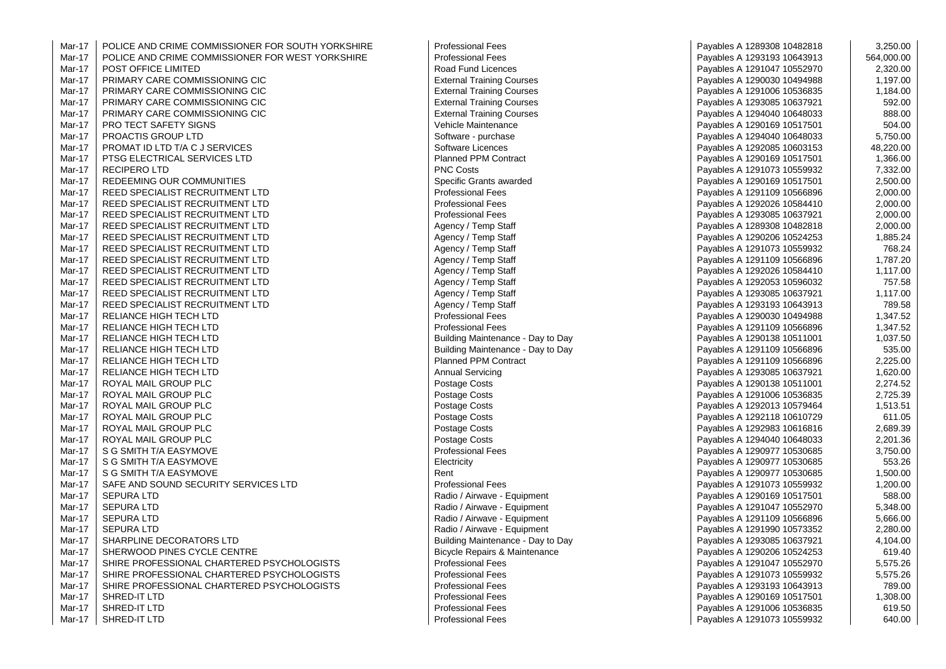| Mar-17 | POLICE AND CRIME COMMISSIONER FOR SOUTH YORKSHIRE | <b>Professional Fees</b>          | Payables A 1289308 10482818 | 3,250.00   |
|--------|---------------------------------------------------|-----------------------------------|-----------------------------|------------|
| Mar-17 | POLICE AND CRIME COMMISSIONER FOR WEST YORKSHIRE  | <b>Professional Fees</b>          | Payables A 1293193 10643913 | 564,000.00 |
| Mar-17 | POST OFFICE LIMITED                               | Road Fund Licences                | Payables A 1291047 10552970 | 2,320.00   |
| Mar-17 | PRIMARY CARE COMMISSIONING CIC                    | <b>External Training Courses</b>  | Payables A 1290030 10494988 | 1,197.00   |
| Mar-17 | PRIMARY CARE COMMISSIONING CIC                    | <b>External Training Courses</b>  | Payables A 1291006 10536835 | 1,184.00   |
| Mar-17 | PRIMARY CARE COMMISSIONING CIC                    | <b>External Training Courses</b>  | Payables A 1293085 10637921 | 592.00     |
| Mar-17 | PRIMARY CARE COMMISSIONING CIC                    | <b>External Training Courses</b>  | Payables A 1294040 10648033 | 888.00     |
| Mar-17 | <b>PRO TECT SAFETY SIGNS</b>                      | Vehicle Maintenance               | Payables A 1290169 10517501 | 504.00     |
| Mar-17 | PROACTIS GROUP LTD                                | Software - purchase               | Payables A 1294040 10648033 | 5,750.00   |
| Mar-17 | PROMAT ID LTD T/A C J SERVICES                    | Software Licences                 | Payables A 1292085 10603153 | 48,220.00  |
| Mar-17 | PTSG ELECTRICAL SERVICES LTD                      | <b>Planned PPM Contract</b>       | Payables A 1290169 10517501 | 1,366.00   |
| Mar-17 | <b>RECIPERO LTD</b>                               | <b>PNC Costs</b>                  | Payables A 1291073 10559932 | 7,332.00   |
| Mar-17 | REDEEMING OUR COMMUNITIES                         | Specific Grants awarded           | Payables A 1290169 10517501 | 2,500.00   |
| Mar-17 | REED SPECIALIST RECRUITMENT LTD                   | <b>Professional Fees</b>          | Payables A 1291109 10566896 | 2,000.00   |
| Mar-17 | REED SPECIALIST RECRUITMENT LTD                   | <b>Professional Fees</b>          | Payables A 1292026 10584410 | 2,000.00   |
| Mar-17 | REED SPECIALIST RECRUITMENT LTD                   | <b>Professional Fees</b>          | Payables A 1293085 10637921 | 2,000.00   |
| Mar-17 | REED SPECIALIST RECRUITMENT LTD                   | Agency / Temp Staff               | Payables A 1289308 10482818 | 2,000.00   |
| Mar-17 | REED SPECIALIST RECRUITMENT LTD                   | Agency / Temp Staff               | Payables A 1290206 10524253 | 1,885.24   |
| Mar-17 | REED SPECIALIST RECRUITMENT LTD                   | Agency / Temp Staff               | Payables A 1291073 10559932 | 768.24     |
| Mar-17 | REED SPECIALIST RECRUITMENT LTD                   | Agency / Temp Staff               | Payables A 1291109 10566896 | 1,787.20   |
| Mar-17 | REED SPECIALIST RECRUITMENT LTD                   | Agency / Temp Staff               | Payables A 1292026 10584410 | 1,117.00   |
| Mar-17 | REED SPECIALIST RECRUITMENT LTD                   | Agency / Temp Staff               | Payables A 1292053 10596032 | 757.58     |
| Mar-17 | REED SPECIALIST RECRUITMENT LTD                   | Agency / Temp Staff               | Payables A 1293085 10637921 | 1,117.00   |
| Mar-17 | REED SPECIALIST RECRUITMENT LTD                   | Agency / Temp Staff               | Payables A 1293193 10643913 | 789.58     |
| Mar-17 | RELIANCE HIGH TECH LTD                            | <b>Professional Fees</b>          | Payables A 1290030 10494988 | 1,347.52   |
| Mar-17 | RELIANCE HIGH TECH LTD                            | <b>Professional Fees</b>          | Payables A 1291109 10566896 | 1,347.52   |
| Mar-17 | RELIANCE HIGH TECH LTD                            | Building Maintenance - Day to Day | Payables A 1290138 10511001 | 1,037.50   |
| Mar-17 | RELIANCE HIGH TECH LTD                            | Building Maintenance - Day to Day | Payables A 1291109 10566896 | 535.00     |
| Mar-17 | <b>RELIANCE HIGH TECH LTD</b>                     | Planned PPM Contract              | Payables A 1291109 10566896 | 2,225.00   |
| Mar-17 | RELIANCE HIGH TECH LTD                            | <b>Annual Servicing</b>           | Payables A 1293085 10637921 | 1,620.00   |
| Mar-17 | ROYAL MAIL GROUP PLC                              | Postage Costs                     | Payables A 1290138 10511001 | 2,274.52   |
| Mar-17 | ROYAL MAIL GROUP PLC                              | Postage Costs                     | Payables A 1291006 10536835 | 2,725.39   |
| Mar-17 | ROYAL MAIL GROUP PLC                              | Postage Costs                     | Payables A 1292013 10579464 | 1,513.51   |
| Mar-17 | ROYAL MAIL GROUP PLC                              | Postage Costs                     | Payables A 1292118 10610729 | 611.05     |
| Mar-17 | ROYAL MAIL GROUP PLC                              | Postage Costs                     | Payables A 1292983 10616816 | 2,689.39   |
| Mar-17 | ROYAL MAIL GROUP PLC                              | Postage Costs                     | Payables A 1294040 10648033 | 2,201.36   |
| Mar-17 | S G SMITH T/A EASYMOVE                            | <b>Professional Fees</b>          | Payables A 1290977 10530685 | 3,750.00   |
| Mar-17 | S G SMITH T/A EASYMOVE                            | Electricity                       | Payables A 1290977 10530685 | 553.26     |
| Mar-17 | S G SMITH T/A EASYMOVE                            | Rent                              | Payables A 1290977 10530685 | 1,500.00   |
| Mar-17 | SAFE AND SOUND SECURITY SERVICES LTD              | <b>Professional Fees</b>          | Payables A 1291073 10559932 | 1,200.00   |
| Mar-17 | <b>SEPURA LTD</b>                                 | Radio / Airwave - Equipment       | Payables A 1290169 10517501 | 588.00     |
| Mar-17 | <b>SEPURA LTD</b>                                 | Radio / Airwave - Equipment       | Payables A 1291047 10552970 | 5,348.00   |
| Mar-17 | <b>SEPURA LTD</b>                                 | Radio / Airwave - Equipment       | Payables A 1291109 10566896 | 5,666.00   |
| Mar-17 | <b>SEPURA LTD</b>                                 | Radio / Airwave - Equipment       | Payables A 1291990 10573352 | 2,280.00   |
| Mar-17 | SHARPLINE DECORATORS LTD                          | Building Maintenance - Day to Day | Payables A 1293085 10637921 | 4,104.00   |
| Mar-17 | SHERWOOD PINES CYCLE CENTRE                       | Bicycle Repairs & Maintenance     | Payables A 1290206 10524253 | 619.40     |
| Mar-17 | SHIRE PROFESSIONAL CHARTERED PSYCHOLOGISTS        | <b>Professional Fees</b>          | Payables A 1291047 10552970 | 5,575.26   |
| Mar-17 | SHIRE PROFESSIONAL CHARTERED PSYCHOLOGISTS        | <b>Professional Fees</b>          | Payables A 1291073 10559932 | 5,575.26   |
| Mar-17 | SHIRE PROFESSIONAL CHARTERED PSYCHOLOGISTS        | <b>Professional Fees</b>          | Payables A 1293193 10643913 | 789.00     |
| Mar-17 | SHRED-IT LTD                                      | <b>Professional Fees</b>          | Payables A 1290169 10517501 | 1,308.00   |
| Mar-17 | SHRED-IT LTD                                      | <b>Professional Fees</b>          | Payables A 1291006 10536835 | 619.50     |
| Mar-17 | SHRED-IT LTD                                      | <b>Professional Fees</b>          | Payables A 1291073 10559932 | 640.00     |
|        |                                                   |                                   |                             |            |

| nal Fees                 | Payables A 1289308 10482818 | 3,250.00   |
|--------------------------|-----------------------------|------------|
| nal Fees                 | Payables A 1293193 10643913 | 564,000.00 |
| d Licences               | Payables A 1291047 10552970 | 2,320.00   |
| Fraining Courses         | Payables A 1290030 10494988 | 1,197.00   |
| Training Courses         | Payables A 1291006 10536835 | 1,184.00   |
| <b>Training Courses</b>  | Payables A 1293085 10637921 | 592.00     |
| <b>Training Courses</b>  | Payables A 1294040 10648033 | 888.00     |
| laintenance              | Payables A 1290169 10517501 | 504.00     |
| - purchase               | Payables A 1294040 10648033 | 5,750.00   |
| Licences                 | Payables A 1292085 10603153 | 48,220.00  |
| PPM Contract             | Payables A 1290169 10517501 | 1,366.00   |
| ts                       | Payables A 1291073 10559932 | 7,332.00   |
| Grants awarded           | Payables A 1290169 10517501 | 2,500.00   |
| nal Fees                 | Payables A 1291109 10566896 | 2,000.00   |
| nal Fees                 | Payables A 1292026 10584410 | 2,000.00   |
| nal Fees                 | Payables A 1293085 10637921 | 2,000.00   |
| Temp Staff               | Payables A 1289308 10482818 | 2,000.00   |
| Temp Staff               | Payables A 1290206 10524253 | 1,885.24   |
| Temp Staff               | Payables A 1291073 10559932 | 768.24     |
| Temp Staff               | Payables A 1291109 10566896 | 1,787.20   |
| Temp Staff               | Payables A 1292026 10584410 | 1,117.00   |
| <b>Temp Staff</b>        | Payables A 1292053 10596032 | 757.58     |
| Temp Staff               | Payables A 1293085 10637921 | 1,117.00   |
| Temp Staff               | Payables A 1293193 10643913 | 789.58     |
| nal Fees                 | Payables A 1290030 10494988 | 1,347.52   |
| nal Fees                 | Payables A 1291109 10566896 | 1,347.52   |
| Aaintenance - Day to Day | Payables A 1290138 10511001 | 1,037.50   |
| Aaintenance - Day to Day | Payables A 1291109 10566896 | 535.00     |
| PPM Contract             | Payables A 1291109 10566896 | 2,225.00   |
| ervicing                 | Payables A 1293085 10637921 | 1,620.00   |
| Costs                    | Payables A 1290138 10511001 | 2,274.52   |
| Costs                    | Payables A 1291006 10536835 | 2,725.39   |
| Costs                    | Payables A 1292013 10579464 | 1,513.51   |
| Costs                    | Payables A 1292118 10610729 | 611.05     |
| Costs                    | Payables A 1292983 10616816 | 2,689.39   |
| Costs                    | Payables A 1294040 10648033 | 2,201.36   |
| nal Fees                 | Payables A 1290977 10530685 | 3,750.00   |
|                          | Payables A 1290977 10530685 | 553.26     |
|                          | Payables A 1290977 10530685 | 1,500.00   |
| nal Fees                 | Payables A 1291073 10559932 | 1,200.00   |
| irwave - Equipment       | Payables A 1290169 10517501 | 588.00     |
| irwave - Equipment       | Payables A 1291047 10552970 | 5,348.00   |
| irwave - Equipment       | Payables A 1291109 10566896 | 5,666.00   |
| irwave - Equipment       | Payables A 1291990 10573352 | 2,280.00   |
| Aaintenance - Day to Day | Payables A 1293085 10637921 | 4,104.00   |
| epairs & Maintenance     | Payables A 1290206 10524253 | 619.40     |
| nal Fees                 | Payables A 1291047 10552970 | 5,575.26   |
| nal Fees                 | Payables A 1291073 10559932 | 5,575.26   |
| nal Fees                 | Payables A 1293193 10643913 | 789.00     |
| nal Fees                 | Payables A 1290169 10517501 | 1,308.00   |
| nal Fees                 | Payables A 1291006 10536835 | 619.50     |
| nal Fees                 | Payables A 1291073 10559932 | 640.00     |
|                          |                             |            |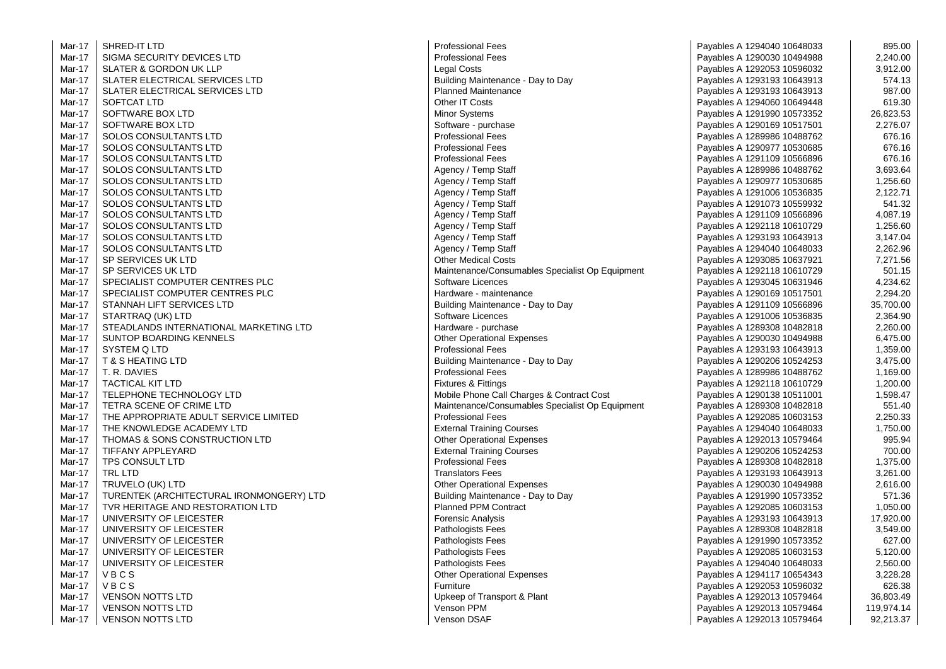Mar-17 SHRED-IT I TD Mar-17 Mar-17 Mar-17 SLATER ELECTRICAL SERVICES LTD<br>SI ATER ELECTRICAL SERVICES LTD Building Maintenance - Day to Day Mar-17 Mar-17 Mar-17 Mar-17 SOFTWARE BOX LTD SOFTWARE BOX 1.17 SOFTWARE BOX 1.17 SOFTWARE BOX 1.17 SOFTWARE BOX 1.17 SOFTWARE SOFTWARE SOFTWARE SOFTWARE SOFTWARE SOFTWARE SOFTWARE SOFTWARE SOFTWARE SOFTWARE SOFTWARE SOFTWARE SOFTWARE SOFTWARE SOFTWAR Mar-17 Mar-17 Mar-17 Mar-17 Mar-17 Mar-17 Mar-17 Mar-17 Mar-17 Mar-17 Mar-17 Mar-17 Mar-17 Mar-17 Mar-17 SPECIALIST COMPUTER CENTRES PLC And the state of the Hardware - maintenance Mar-17 STANNAH LIFT SERVICES LTD<br>
STARTRAQ (UK) LTD<br>
Software Licences Mar-17 Mar-17 STEADLANDS INTERNATIONAL MARKETING LTD **Hardware** - purchase Mar-17 Mar-17 Mar-17 Mar-17 Mar-17 Mar-17 Mar-17 Mar-17 Mar-17 Mar-17 Mar-17 Mar-17 Mar-17 Mar-17 Mar-17 TURENTEK (ARCHITECTURAL IRONMONGERY) LTD Building Maintenance - Day to Day Mar-17 Mar-17 Mar-17 Mar-17 Mar-17 Mar-17 Mar-17 Mar-17 Mar-17 Mar-17 Mar-17

-17 SIGMA SECURITY DEVICES LTD And The Manuscript of the Professional Fees Payables A 1290030 10494988 2,240.00<br>SLATER & GORDON UK LLP 3.912.00 -17 SLATER ELECTRICAL SERVICES LTD CHARGE MAINTENAGE Planned Maintenance CHARGE PAYABLES A 1293193 10643913 987.00<br>Payables A 1294060 10649448 619.30 -17 SOFTCAT LTD CONSTRUCTED CONTROLLER SOFTCAT LTD SOFTCAT LTD STATED ASSESS A 1294060 10649448 (19930 -17 SOFTWARE BOX LTD 26,823.53<br>Software - 17 Software - 17 Software - 17 Software - 17 Software - 17 Software - 18 Software - 18 Software - 1<br>Payables A 1290169 10517501 2.276.07 2.276.07 -17 SOLOS CONSULTANTS LTD Professional Fees Payables A 1289986 10488762 676.16 -17 SOLOS CONSULTANTS LTD CONSULTANTS LTD CONSULTANTS LTD CONSULTANTS LTD CONSULTANTS LTD CONSULTANTS LTD CONS<br>-17 SOLOS CONSULTANTS LTD CONSULTANTS LTD CONSULTANTS LTD CONSULTANTS LTD CONSULTANTS LTD CONSULTANTS LTD CONS -17 SOLOS CONSULTANTS LTD PROPERTY RELATION TO PROPERTY ASSESSED AT A PAYABLES A 1291109 10566896 SOLOS CONSULTANTS LTD **Agency / Temp Staff Payables A 1289986 10488762** 3,693.64 SOLOS CONSULTANTS LTD **Agency / Temp Staff Payables A 1290977 10530685** 1,256.60 -17 SOLOS CONSULTANTS LTD 2,122.71 SOLOS CONSULTANTS LTD 2,122.71 -17 SOLOS CONSULTANTS LTD Agency / Temp Staff Payables A 1291073 10559932 541.32 -17 SOLOS CONSULTANTS LTD Agency / Temp Staff Payables A 1291109 10566896 4,087.19 SOLOS CONSULTANTS LTD **Agency / Temp Staff Payables A 1292118 10610729** 1,256.60 -17.04 SOLOS CONSULTANTS LTD CONSULTANTS LTD SALE Agency / Temp Staff Agency / Temp Staff Solos CONSULTANTS LTD<br>-17.04 SOLOS CONSULTANTS LTD 2.262.96 -17 SOLOS CONSULTANTS LTD Agency / Temp Staff Payables A 1294040 10648033 2,262.96 SP SERVICES UK LTD COSTS CONTROLLED A CHECK ON SERVICES UK LTD TO THE STATE OF STATE OF STATE OF THE STATE OF THE STATE OF THE STATE OF THE STATE OF THE STATE OF THE STATE OF THE STATE OF THE STATE OF THE STATE OF THE STAT -17 SP SERVICES UK LTD Maintenance/Consumables Specialist Op Equipment Payables A 1292118 10610729 501.15 SPECIALIST COMPUTER CENTRES PLC<br>-17 SPECIALIST COMPUTER CENTRES PLC<br>-29420 - 17 Sepecial IST COMPUTER CENTRES PLC -17 Software Licences 2, 2010 10536835 2, 2010 10536835 2,364.9006 2,364.9006 2,364.9006 2,364.9006 2,364.9006 2,364.9006 2,364.9006 2,364.9006 2,364.9006 2,364.9006 2,364.9006 2,364.9006 2,364.9006 2,364.9006 2,364.9006 2 -17 SUNTOP BOARDING KENNELS Other Operational Expenses Payables A 1290030 10494988 6,475.00 -17 SYSTEM Q LTD Professional Fees Professional Fees Payables A 1293193 10643913 1,359.00<br>Payables A 1290206 10524253 1,359.00 1,359.00 1,359.00 1,359.00 1,359.00 Ravables A 1290206 10524253 1,359.00 Building Maintenance - Day to Day -17 T. R. DAVIES POST DESCRIPTION AND RESERVE TO A LOCAL PROPERTY AND RESERVED TO A 1169.00 TACTICAL KIT LTD AND MUSIC RESERVED TO A 1,169.00 FIXTURES A Fittings Fixtures & Fittings (Payables A 1292118 10610729 1.200.00 TELEPHONE TECHNOLOGY LTD **Mobile Phone Call Charges & Contract Cost** Payables A 1290138 10511001 1,598.47 TETRA SCENE OF CRIME LTD **Maintenance/Consumables Specialist Op Equipment** Payables A 1289308 10482818 | 551.40 THE APPROPRIATE ADULT SERVICE LIMITED **From Automobile Professional Fees** Professional Fees Payables A 1292085 10603153 2,250.33<br>Payables A 1294040 10648033 1.750.00 -17 THE KNOWLEDGE ACADEMY LTD External Training Courses Payables A 1294040 10648033 1,750.00 -11 THOMAS & SONS CONSTRUCTION LTD CHERO CONSTRUCTION LTD Other Operational Expenses CONSTRUCTION LTD OUTHER OUTHER OUTHER A 1292013 10579464 PAYABLES A 1292013 10579464 PAYABLES A 1292013 10579464 PAYABLES A 1290206 10524 TPS CONSULT LTD **A 1.375.00** Professional Fees Professional Fees Payables A 1289308 10482818 1,375.00 -17 TRL LTD 2,261.00 Translators Fees Payables A 1293193 10643913 2,261.00 -17 TRUVELO (UK) LTD CONTROLLATION CONTROVERSITY Of A 1290030 10494988 Payables A 1290030 10494988 Payables A 1290030 10494988 TVR HERITAGE AND RESTORATION LTD **Planned PPM Contract** Payables A 1292085 10603153 1,050.00 -17 UNIVERSITY OF LEICESTER Forensic Analysis Payables A 1293193 10643913 17,920.00 UNIVERSITY OF LEICESTER **Alternative States A 1289308 10482818** and 3,549.00 UNIVERSITY OF LEICESTER CONTROL CONTROLLER PATHOLOGISTS Fees **Pathologists Fees** Payables A 1291990 10573352 (CONTROLLER UNIVERSITY OF LEICESTER COMPUTER A LANDING MANUSIUM DATA DESCRIPTION OF LEICESTER AND DESCRIPTION OF LEICESTER<br>Pathologists Fees Pathologists Fees Payables A 1294040 10648033 2.560.00 -17 Pathologists Fees 2,560.00 Payables A 1294040 10648033 V B C S CONSULTER STATES A NEW STATES A SERVICE STATES Of A SERVICE STATES A 1294117 10654343 3,228.28 -17 V B C S Furniture Payables A 1292053 10596032 (17 AVB C S) N B C S A 1292053 10596032 (17 AVB C S) VENSON NOTTS LTD **17 Interval and COVID-SON NOTTS LTD** 36,803.49 VENSON NOTTS LTD **119,974.14** Venson PPM Venson PPM Payables A 1292013 10579464 119,974.14 VENSON NOTTS LTD 82,213.37

-IT LTD Professional Fees Payables A 1294040 10648033 895.00 Payables A 1292053 10596032 3,912.00<br>Payables A 1293193 10643913 574.13 Payables A 1293193 10643913 Payables A 1290169 10517501 Payables A 1290169 10517501 Payables A 1291109 10566896 35,700.00<br>Payables A 1291006 10536835 2.364.90 Payables A 1289308 10482818 2,260.00 Payables A 1290206 10524253 3.475.00 Payables A 1292118 10610729 1,200.00 Payables A 1290206 10524253 700.00 Payables A 1291990 10573352 1 571.36